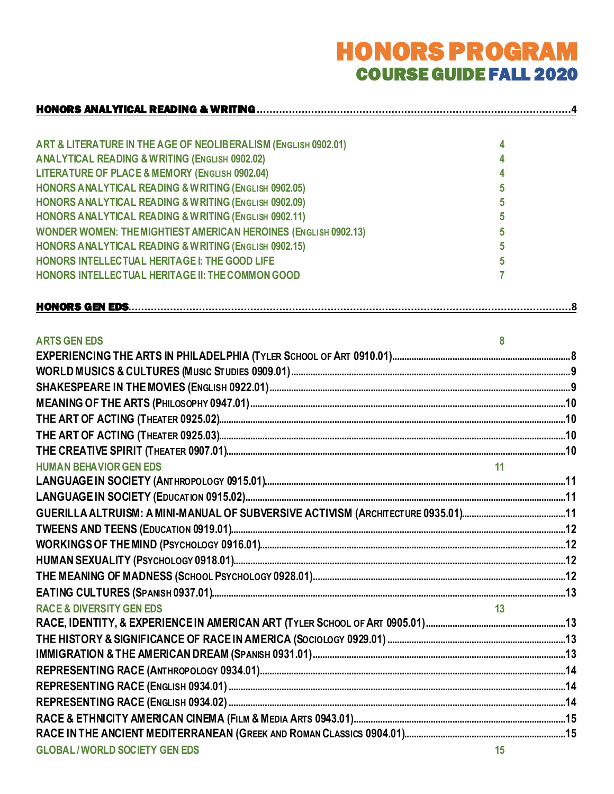# HONORS PROGRAM COURSE GUIDE FALL 2020

| ART & LITERATURE IN THE AGE OF NEOLIBERALISM (ENGLISH 0902.01)         | 4  |  |
|------------------------------------------------------------------------|----|--|
| <b>ANALYTICAL READING &amp; WRITING (ENGLISH 0902.02)</b>              |    |  |
| LITERATURE OF PLACE & MEMORY (ENGLISH 0902.04)                         |    |  |
| HONORS ANALYTICAL READING & WRITING (ENGLISH 0902.05)                  | 5  |  |
| HONORS ANALYTICAL READING & WRITING (ENGLISH 0902.09)                  | 5  |  |
| HONORS ANALYTICAL READING & WRITING (ENGLISH 0902.11)                  | 5  |  |
| <b>WONDER WOMEN: THE MIGHTIEST AMERICAN HEROINES (ENGLISH 0902.13)</b> | 5  |  |
| HONORS ANALYTICAL READING & WRITING (ENGLISH 0902.15)                  | 5  |  |
| HONORS INTELLECTUAL HERITAGE I: THE GOOD LIFE                          | 5  |  |
| HONORS INTELLECTUAL HERITAGE II: THE COMMON GOOD                       | 7  |  |
|                                                                        |    |  |
| <b>ARTS GEN EDS</b>                                                    | 8  |  |
|                                                                        |    |  |
|                                                                        |    |  |
|                                                                        |    |  |
|                                                                        |    |  |
|                                                                        |    |  |
|                                                                        |    |  |
|                                                                        |    |  |
| <b>HUMAN BEHAVIOR GEN EDS</b>                                          | 11 |  |
|                                                                        |    |  |
|                                                                        |    |  |
|                                                                        |    |  |
|                                                                        |    |  |
|                                                                        |    |  |
|                                                                        |    |  |
|                                                                        |    |  |
|                                                                        |    |  |
| <b>RACE &amp; DIVERSITY GEN EDS</b>                                    |    |  |
|                                                                        |    |  |
|                                                                        |    |  |
|                                                                        |    |  |
|                                                                        |    |  |
|                                                                        |    |  |
|                                                                        |    |  |
|                                                                        |    |  |
|                                                                        |    |  |
| <b>GLOBAL/WORLD SOCIETY GEN EDS</b>                                    | 15 |  |
|                                                                        |    |  |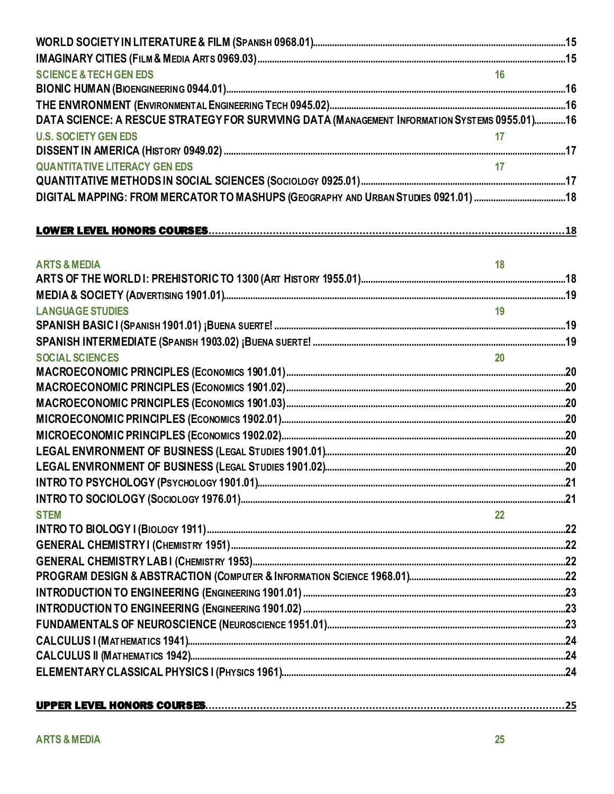| <b>SCIENCE &amp; TECH GEN EDS</b>                                                             | 16              |  |
|-----------------------------------------------------------------------------------------------|-----------------|--|
|                                                                                               |                 |  |
|                                                                                               |                 |  |
| DATA SCIENCE: A RESCUE STRATEGY FOR SURVIVING DATA (MANAGEMENT INFORMATION SYSTEMS 0955.01)16 |                 |  |
| <b>U.S. SOCIETY GEN EDS</b>                                                                   | 17              |  |
|                                                                                               |                 |  |
| <b>QUANTITATIVE LITERACY GEN EDS</b>                                                          |                 |  |
|                                                                                               |                 |  |
| DIGITAL MAPPING: FROM MERCATOR TO MASHUPS (GEOGRAPHY AND URBAN STUDIES 0921.01) 18            |                 |  |
|                                                                                               |                 |  |
|                                                                                               |                 |  |
| <b>ARTS &amp; MEDIA</b>                                                                       | 18              |  |
|                                                                                               |                 |  |
|                                                                                               |                 |  |
| <b>LANGUAGE STUDIES</b>                                                                       | $\overline{19}$ |  |
|                                                                                               |                 |  |
|                                                                                               |                 |  |
| <b>SOCIAL SCIENCES</b>                                                                        | 20 <sup>1</sup> |  |
|                                                                                               |                 |  |
|                                                                                               |                 |  |
|                                                                                               |                 |  |
|                                                                                               |                 |  |
|                                                                                               |                 |  |
|                                                                                               |                 |  |
|                                                                                               |                 |  |
|                                                                                               |                 |  |
|                                                                                               |                 |  |
| <b>STEM</b>                                                                                   | 22              |  |
|                                                                                               |                 |  |
|                                                                                               |                 |  |
|                                                                                               |                 |  |
|                                                                                               |                 |  |
|                                                                                               |                 |  |
|                                                                                               |                 |  |
|                                                                                               |                 |  |
|                                                                                               |                 |  |
|                                                                                               |                 |  |
|                                                                                               |                 |  |
|                                                                                               |                 |  |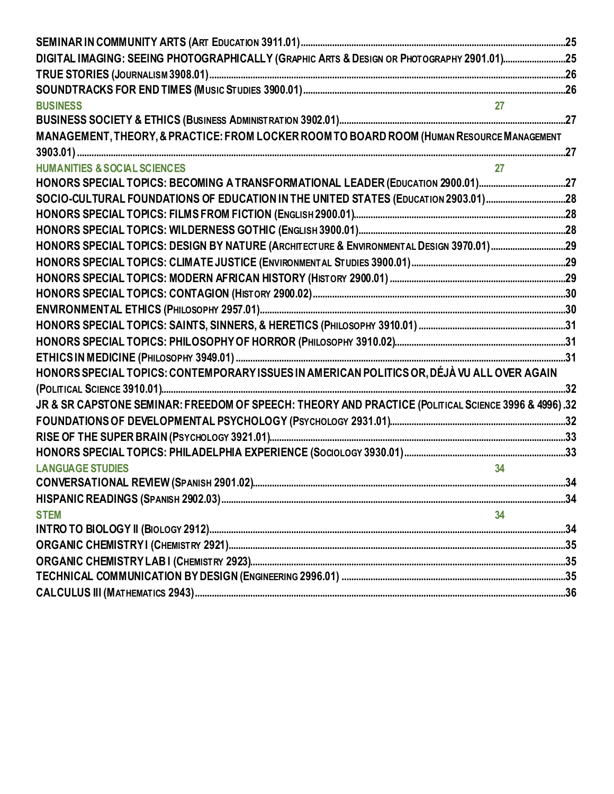| DIGITAL IMAGING: SEEING PHOTOGRAPHICALLY (GRAPHIC ARTS & DESIGN OR PHOTOGRAPHY 2901.01)25                                                                                                 |  |
|-------------------------------------------------------------------------------------------------------------------------------------------------------------------------------------------|--|
|                                                                                                                                                                                           |  |
|                                                                                                                                                                                           |  |
| <b>BUSINESS</b>                                                                                                                                                                           |  |
|                                                                                                                                                                                           |  |
| MANAGEMENT, THEORY, & PRACTICE: FROM LOCKER ROOM TO BOARD ROOM (HUMAN RESOURCE MANAGEMENT                                                                                                 |  |
|                                                                                                                                                                                           |  |
| <b>HUMANITIES &amp; SOCIAL SCIENCES</b>                                                                                                                                                   |  |
| HONORS SPECIAL TOPICS: BECOMING A TRANSFORMATIONAL LEADER (EDUCATION 2900.01)27                                                                                                           |  |
| SOCIO-CULTURAL FOUNDATIONS OF EDUCATION IN THE UNITED STATES (EDUCATION 2903.01)28                                                                                                        |  |
|                                                                                                                                                                                           |  |
|                                                                                                                                                                                           |  |
| HONORS SPECIAL TOPICS: DESIGN BY NATURE (ARCHITECTURE & ENVIRONMENTAL DESIGN 3970.01)29                                                                                                   |  |
|                                                                                                                                                                                           |  |
|                                                                                                                                                                                           |  |
|                                                                                                                                                                                           |  |
|                                                                                                                                                                                           |  |
|                                                                                                                                                                                           |  |
|                                                                                                                                                                                           |  |
|                                                                                                                                                                                           |  |
| HONORS SPECIAL TOPICS: CONTEMPORARY ISSUES IN AMERICAN POLITICS OR, DÉJÀ VU ALL OVER AGAIN                                                                                                |  |
|                                                                                                                                                                                           |  |
| JR & SR CAPSTONE SEMINAR: FREEDOM OF SPEECH: THEORY AND PRACTICE (POLITICAL SCIENCE 3996 & 4996).32                                                                                       |  |
|                                                                                                                                                                                           |  |
|                                                                                                                                                                                           |  |
|                                                                                                                                                                                           |  |
| 34<br><b>LANGUAGE STUDIES</b>                                                                                                                                                             |  |
|                                                                                                                                                                                           |  |
| الاست بين المستقى المستقى المستقى المستقى المستقى المستقى المستقى المستقى المستقى المستقى المستقى المستقى المستقى المستقى المستقى المستقى المستقى المستقى المستقى المستقى المستقى المستقى |  |
| 34<br><b>STEM</b>                                                                                                                                                                         |  |
|                                                                                                                                                                                           |  |
|                                                                                                                                                                                           |  |
|                                                                                                                                                                                           |  |
|                                                                                                                                                                                           |  |
|                                                                                                                                                                                           |  |
|                                                                                                                                                                                           |  |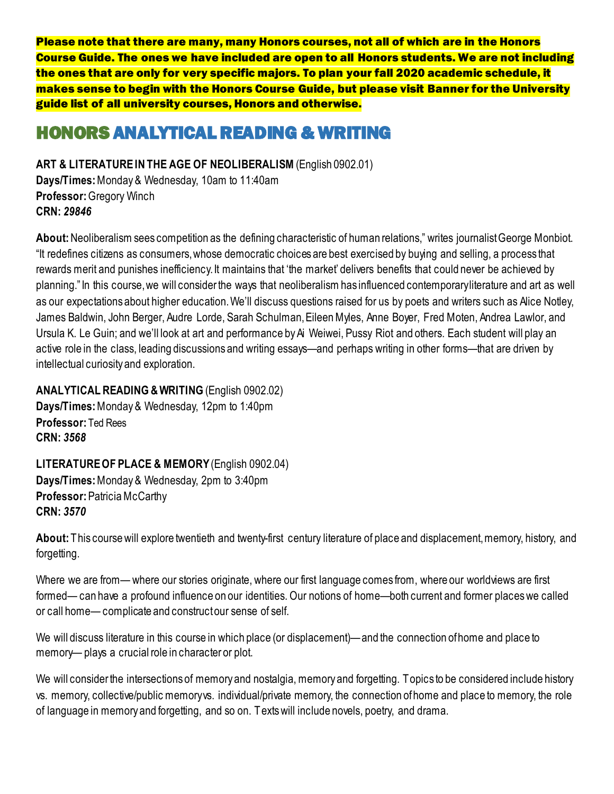Please note that there are many, many Honors courses, not all of which are in the Honors Course Guide. The ones we have included are open to all Honors students. We are not including the ones that are only for very specific majors. To plan your fall 2020 academic schedule, it makes sense to begin with the Honors Course Guide, but please visit Banner for the University guide list of all university courses, Honors and otherwise.

# <span id="page-3-0"></span>HONORS ANALYTICAL READING & WRITING

<span id="page-3-1"></span>**ART & LITERATURE IN THE AGE OF NEOLIBERALISM** (English 0902.01) **Days/Times:** Monday & Wednesday, 10am to 11:40am **Professor:** Gregory Winch **CRN:** *29846*

**About:** Neoliberalism sees competition as the defining characteristic of human relations," writes journalist George Monbiot. "It redefines citizens as consumers, whose democratic choices are best exercised by buying and selling, a process that rewards merit and punishes inefficiency. It maintains that 'the market' delivers benefits that could never be achieved by planning." In this course, we will consider the ways that neoliberalism has influenced contemporary literature and art as well as our expectations about higher education. We'll discuss questions raised for us by poets and writers such as Alice Notley, James Baldwin, John Berger, Audre Lorde, Sarah Schulman, Eileen Myles, Anne Boyer, Fred Moten, Andrea Lawlor, and Ursula K. Le Guin; and we'll look at art and performance by Ai Weiwei, Pussy Riot and others. Each student will play an active role in the class, leading discussions and writing essays—and perhaps writing in other forms—that are driven by intellectual curiosity and exploration.

<span id="page-3-2"></span>**ANALYTICAL READING &WRITING** (English 0902.02)

**Days/Times:** Monday & Wednesday, 12pm to 1:40pm **Professor:** Ted Rees **CRN:** *3568*

<span id="page-3-3"></span>**LITERATURE OF PLACE & MEMORY** (English 0902.04) **Days/Times:** Monday & Wednesday, 2pm to 3:40pm **Professor:** Patricia McCarthy **CRN:** *3570*

**About:** This course will explore twentieth and twenty-first century literature of place and displacement, memory, history, and forgetting.

Where we are from— where our stories originate, where our first language comes from, where our worldviews are first formed— can have a profound influence on our identities. Our notions of home—both current and former places we called or call home— complicate and construct our sense of self.

We will discuss literature in this course in which place (or displacement)—and the connection of home and place to memory— plays a crucial role in character or plot.

We will consider the intersections of memory and nostalgia, memory and forgetting. Topics to be considered include history vs. memory, collective/public memory vs. individual/private memory, the connection of home and place to memory, the role of language in memory and forgetting, and so on. Texts will include novels, poetry, and drama.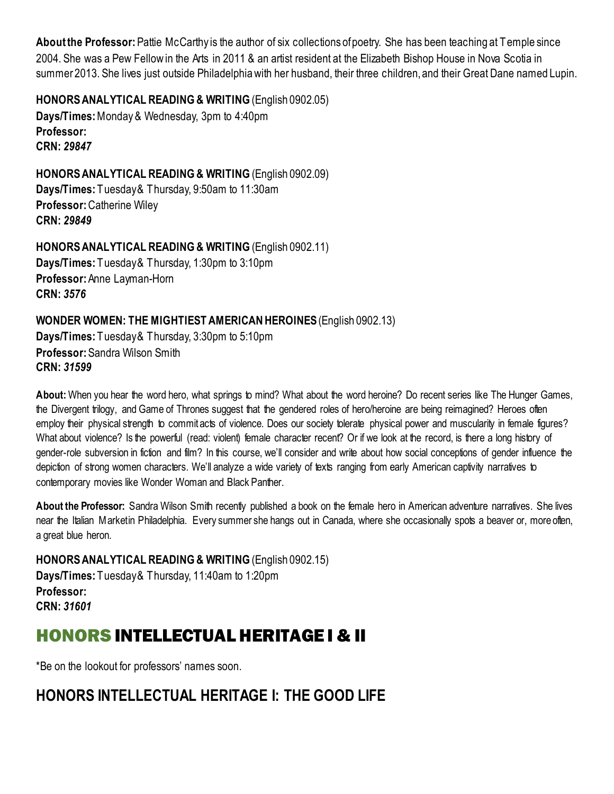**About the Professor:** Pattie McCarthy is the author of six collections of poetry. She has been teaching at Temple since 2004. She was a Pew Fellow in the Arts in 2011 & an artist resident at the Elizabeth Bishop House in Nova Scotia in summer 2013. She lives just outside Philadelphia with her husband, their three children, and their Great Dane named Lupin.

<span id="page-4-0"></span>**HONORS ANALYTICAL READING & WRITING** (English 0902.05) **Days/Times:** Monday & Wednesday, 3pm to 4:40pm **Professor: CRN:** *29847*

<span id="page-4-1"></span>**HONORS ANALYTICAL READING & WRITING** (English 0902.09) **Days/Times:** Tuesday & Thursday, 9:50am to 11:30am **Professor:** Catherine Wiley **CRN:** *29849*

<span id="page-4-2"></span>**HONORS ANALYTICAL READING & WRITING** (English 0902.11) **Days/Times:** Tuesday & Thursday, 1:30pm to 3:10pm **Professor:** Anne Layman-Horn **CRN:** *3576*

<span id="page-4-3"></span>**WONDER WOMEN: THE MIGHTIEST AMERICAN HEROINES**(English 0902.13) **Days/Times:** Tuesday & Thursday, 3:30pm to 5:10pm **Professor:** Sandra Wilson Smith **CRN:** *31599*

**About:** When you hear the word hero, what springs to mind? What about the word heroine? Do recent series like The Hunger Games, the Divergent trilogy, and Game of Thrones suggest that the gendered roles of hero/heroine are being reimagined? Heroes often employ their physical strength to commit acts of violence. Does our society tolerate physical power and muscularity in female figures? What about violence? Is the powerful (read: violent) female character recent? Or if we look at the record, is there a long history of gender-role subversion in fiction and film? In this course, we'll consider and write about how social conceptions of gender influence the depiction of strong women characters. We'll analyze a wide variety of texts ranging from early American captivity narratives to contemporary movies like Wonder Woman and Black Panther.

**About the Professor:** Sandra Wilson Smith recently published a book on the female hero in American adventure narratives. She lives near the Italian Market in Philadelphia. Every summer she hangs out in Canada, where she occasionally spots a beaver or, more often, a great blue heron.

<span id="page-4-4"></span>**HONORS ANALYTICAL READING & WRITING** (English 0902.15) **Days/Times:** Tuesday & Thursday, 11:40am to 1:20pm **Professor: CRN:** *31601*

# HONORS INTELLECTUAL HERITAGE I & II

\*Be on the lookout for professors' names soon.

# <span id="page-4-5"></span>**HONORS INTELLECTUAL HERITAGE I: THE GOOD LIFE**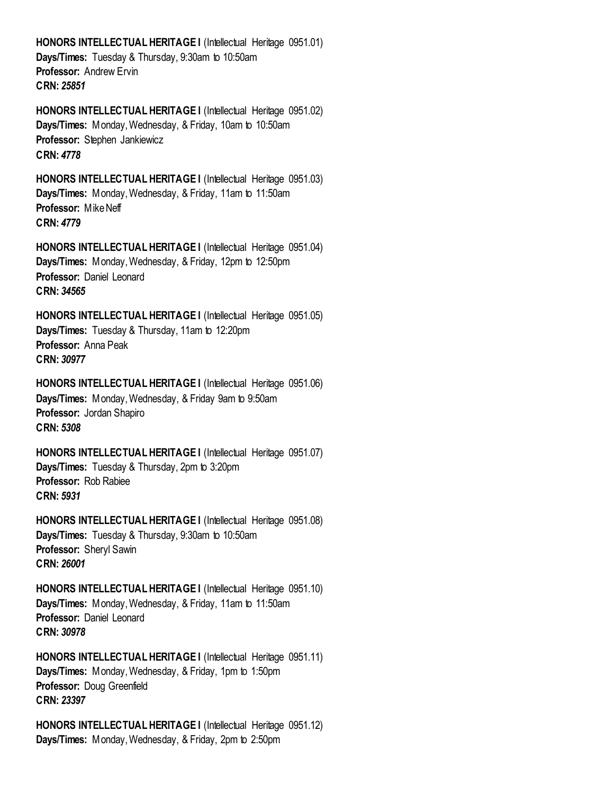**HONORS INTELLECTUAL HERITAGE I** (Intellectual Heritage 0951.01) **Days/Times:** Tuesday & Thursday, 9:30am to 10:50am **Professor:** Andrew Ervin **CRN:** *25851*

**HONORS INTELLECTUAL HERITAGE I** (Intellectual Heritage 0951.02) **Days/Times:** Monday, Wednesday, & Friday, 10am to 10:50am **Professor:** Stephen Jankiewicz **CRN:** *4778*

**HONORS INTELLECTUAL HERITAGE I** (Intellectual Heritage 0951.03) **Days/Times:** Monday, Wednesday, & Friday, 11am to 11:50am **Professor:** Mike Neff **CRN:** *4779*

**HONORS INTELLECTUAL HERITAGE I** (Intellectual Heritage 0951.04) **Days/Times:** Monday, Wednesday, & Friday, 12pm to 12:50pm **Professor:** Daniel Leonard **CRN:** *34565*

**HONORS INTELLECTUAL HERITAGE I** (Intellectual Heritage 0951.05) **Days/Times:** Tuesday & Thursday, 11am to 12:20pm **Professor:** Anna Peak **CRN:** *30977*

**HONORS INTELLECTUAL HERITAGE I (Intellectual Heritage 0951.06) Days/Times:** Monday, Wednesday, & Friday 9am to 9:50am **Professor:** Jordan Shapiro **CRN:** *5308*

**HONORS INTELLECTUAL HERITAGE I** (Intellectual Heritage 0951.07) **Days/Times:** Tuesday & Thursday, 2pm to 3:20pm **Professor:** Rob Rabiee **CRN:** *5931*

**HONORS INTELLECTUAL HERITAGE I** (Intellectual Heritage 0951.08) **Days/Times:** Tuesday & Thursday, 9:30am to 10:50am **Professor:** Sheryl Sawin **CRN:** *26001*

**HONORS INTELLECTUAL HERITAGE I** (Intellectual Heritage 0951.10) **Days/Times:** Monday, Wednesday, & Friday, 11am to 11:50am **Professor:** Daniel Leonard **CRN:** *30978*

**HONORS INTELLECTUAL HERITAGE I** (Intellectual Heritage 0951.11) **Days/Times:** Monday, Wednesday, & Friday, 1pm to 1:50pm **Professor:** Doug Greenfield **CRN:** *23397*

**HONORS INTELLECTUAL HERITAGE I** (Intellectual Heritage 0951.12) **Days/Times:** Monday, Wednesday, & Friday, 2pm to 2:50pm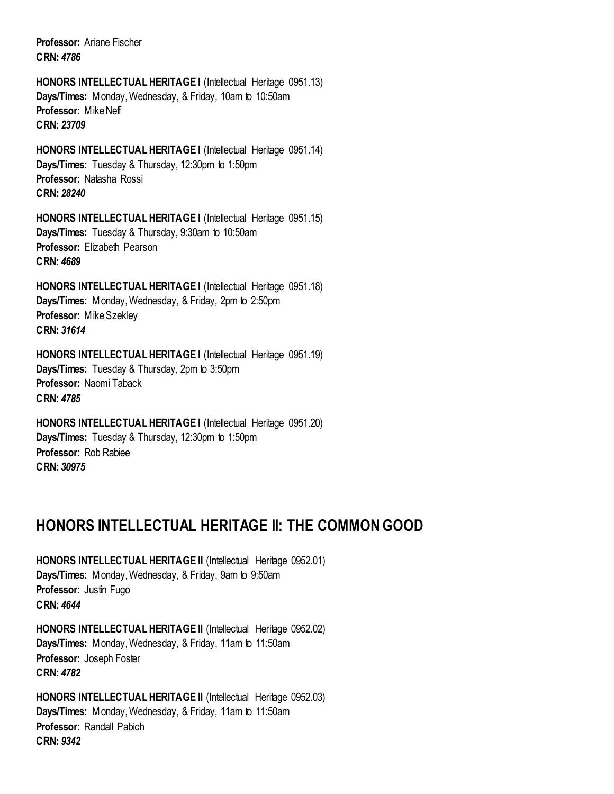**Professor:** Ariane Fischer **CRN:** *4786*

**HONORS INTELLECTUAL HERITAGE I (Intellectual Heritage 0951.13) Days/Times:** Monday, Wednesday, & Friday, 10am to 10:50am **Professor:** Mike Neff **CRN:** *23709*

**HONORS INTELLECTUAL HERITAGE I** (Intellectual Heritage 0951.14) **Days/Times:** Tuesday & Thursday, 12:30pm to 1:50pm **Professor:** Natasha Rossi **CRN:** *28240*

**HONORS INTELLECTUAL HERITAGE I** (Intellectual Heritage 0951.15) **Days/Times:** Tuesday & Thursday, 9:30am to 10:50am **Professor:** Elizabeth Pearson **CRN:** *4689*

**HONORS INTELLECTUAL HERITAGE I** (Intellectual Heritage 0951.18) **Days/Times:** Monday, Wednesday, & Friday, 2pm to 2:50pm **Professor:** Mike Szekley **CRN:** *31614*

**HONORS INTELLECTUAL HERITAGE I (Intellectual Heritage 0951.19) Days/Times:** Tuesday & Thursday, 2pm to 3:50pm **Professor:** Naomi Taback **CRN:** *4785*

**HONORS INTELLECTUAL HERITAGE I** (Intellectual Heritage 0951.20) **Days/Times:** Tuesday & Thursday, 12:30pm to 1:50pm **Professor:** Rob Rabiee **CRN:** *30975*

## <span id="page-6-0"></span>**HONORS INTELLECTUAL HERITAGE II: THE COMMON GOOD**

**HONORS INTELLECTUAL HERITAGE II** (Intellectual Heritage 0952.01) **Days/Times:** Monday, Wednesday, & Friday, 9am to 9:50am **Professor:** Justin Fugo **CRN:** *4644*

**HONORS INTELLECTUAL HERITAGE II** (Intellectual Heritage 0952.02) **Days/Times:** Monday, Wednesday, & Friday, 11am to 11:50am **Professor:** Joseph Foster **CRN:** *4782*

**HONORS INTELLECTUAL HERITAGE II** (Intellectual Heritage 0952.03) **Days/Times:** Monday, Wednesday, & Friday, 11am to 11:50am **Professor:** Randall Pabich **CRN:** *9342*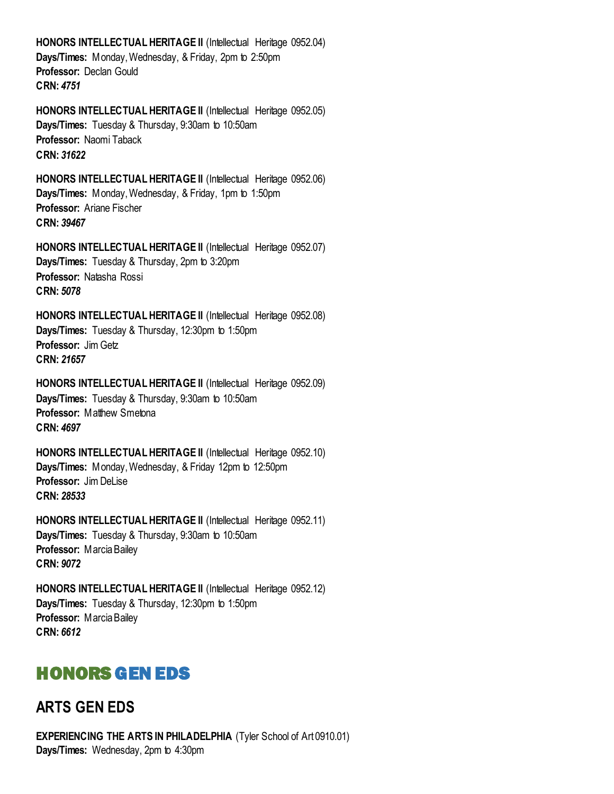**HONORS INTELLECTUAL HERITAGE II** (Intellectual Heritage 0952.04) **Days/Times:** Monday, Wednesday, & Friday, 2pm to 2:50pm **Professor:** Declan Gould **CRN:** *4751*

**HONORS INTELLECTUAL HERITAGE II** (Intellectual Heritage 0952.05) **Days/Times:** Tuesday & Thursday, 9:30am to 10:50am **Professor:** Naomi Taback **CRN:** *31622*

**HONORS INTELLECTUAL HERITAGE II** (Intellectual Heritage 0952.06) **Days/Times:** Monday,Wednesday, & Friday, 1pm to 1:50pm **Professor:** Ariane Fischer **CRN:** *39467*

**HONORS INTELLECTUAL HERITAGE II** (Intellectual Heritage 0952.07) **Days/Times:** Tuesday & Thursday, 2pm to 3:20pm **Professor:** Natasha Rossi **CRN:** *5078*

**HONORS INTELLECTUAL HERITAGE II** (Intellectual Heritage 0952.08) **Days/Times:** Tuesday & Thursday, 12:30pm to 1:50pm **Professor:** Jim Getz **CRN:** *21657*

**HONORS INTELLECTUAL HERITAGE II** (Intellectual Heritage 0952.09) **Days/Times:** Tuesday & Thursday, 9:30am to 10:50am **Professor: Matthew Smetona CRN:** *4697*

**HONORS INTELLECTUAL HERITAGE II** (Intellectual Heritage 0952.10) **Days/Times:** Monday, Wednesday, & Friday 12pm to 12:50pm **Professor:** Jim DeLise **CRN:** *28533*

**HONORS INTELLECTUAL HERITAGE II** (Intellectual Heritage 0952.11) **Days/Times:** Tuesday & Thursday, 9:30am to 10:50am **Professor:** Marcia Bailey **CRN:** *9072*

**HONORS INTELLECTUAL HERITAGE II** (Intellectual Heritage 0952.12) **Days/Times:** Tuesday & Thursday, 12:30pm to 1:50pm **Professor:** Marcia Bailey **CRN:** *6612*

# <span id="page-7-0"></span>HONORS GEN EDS

## <span id="page-7-1"></span>**ARTS GEN EDS**

<span id="page-7-2"></span>**EXPERIENCING THE ARTS IN PHILADELPHIA** (Tyler School of Art 0910.01) **Days/Times:** Wednesday, 2pm to 4:30pm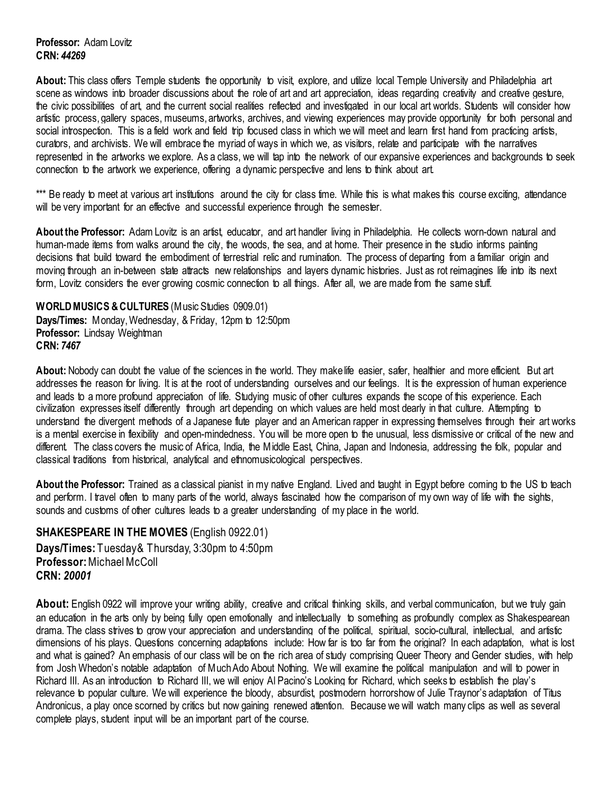**About:** This class offers Temple students the opportunity to visit, explore, and utilize local Temple University and Philadelphia art scene as windows into broader discussions about the role of art and art appreciation, ideas regarding creativity and creative gesture, the civic possibilities of art, and the current social realities reflected and investigated in our local art worlds. Students will consider how artistic process, gallery spaces, museums, artworks, archives, and viewing experiences may provide opportunity for both personal and social introspection. This is a field work and field trip focused class in which we will meet and learn first hand from practicing artists, curators, and archivists. We will embrace the myriad of ways in which we, as visitors, relate and participate with the narratives represented in the artworks we explore. As a class, we will tap into the network of our expansive experiences and backgrounds to seek connection to the artwork we experience, offering a dynamic perspective and lens to think about art.

\*\*\* Be ready to meet at various art institutions around the city for class time. While this is what makes this course exciting, attendance will be very important for an effective and successful experience through the semester.

**About the Professor:** Adam Lovitz is an artist, educator, and art handler living in Philadelphia. He collects worn-down natural and human-made items from walks around the city, the woods, the sea, and at home. Their presence in the studio informs painting decisions that build toward the embodiment of terrestrial relic and rumination. The process of departing from a familiar origin and moving through an in-between state attracts new relationships and layers dynamic histories. Just as rot reimagines life into its next form, Lovitz considers the ever growing cosmic connection to all things. After all, we are made from the same stuff.

<span id="page-8-0"></span>**WORLD MUSICS & CULTURES** (Music Studies 0909.01) **Days/Times:** Monday, Wednesday, & Friday, 12pm to 12:50pm **Professor:** Lindsay Weightman **CRN:** *7467*

**About:** Nobody can doubt the value of the sciences in the world. They make life easier, safer, healthier and more efficient. But art addresses the reason for living. It is at the root of understanding ourselves and our feelings. It is the expression of human experience and leads to a more profound appreciation of life. Studying music of other cultures expands the scope of this experience. Each civilization expresses itself differently through art depending on which values are held most dearly in that culture. Attempting to understand the divergent methods of a Japanese flute player and an American rapper in expressing themselves through their art works is a mental exercise in flexibility and open-mindedness. You will be more open to the unusual, less dismissive or critical of the new and different. The class covers the music of Africa, India, the Middle East, China, Japan and Indonesia, addressing the folk, popular and classical traditions from historical, analytical and ethnomusicological perspectives.

**About the Professor:** Trained as a classical pianist in my native England. Lived and taught in Egypt before coming to the US to teach and perform. I travel often to many parts of the world, always fascinated how the comparison of my own way of life with the sights, sounds and customs of other cultures leads to a greater understanding of my place in the world.

### <span id="page-8-1"></span>**SHAKESPEARE IN THE MOVIES** (English 0922.01) **Days/Times:** Tuesday & Thursday, 3:30pm to 4:50pm **Professor:**Michael McColl **CRN:** *20001*

**About:** English 0922 will improve your writing ability, creative and critical thinking skills, and verbal communication, but we truly gain an education in the arts only by being fully open emotionally and intellectually to something as profoundly complex as Shakespearean drama. The class strives to grow your appreciation and understanding of the political, spiritual, socio-cultural, intellectual, and artistic dimensions of his plays. Questions concerning adaptations include: How far is too far from the original? In each adaptation, what is lost and what is gained? An emphasis of our class will be on the rich area of study comprising Queer Theory and Gender studies, with help from Josh Whedon's notable adaptation of Much Ado About Nothing. We will examine the political manipulation and will to power in Richard III. As an introduction to Richard III, we will enjoy Al Pacino's Looking for Richard, which seeks to establish the play's relevance to popular culture. We will experience the bloody, absurdist, postmodern horrorshow of Julie Traynor's adaptation of Titus Andronicus, a play once scorned by critics but now gaining renewed attention. Because we will watch many clips as well as several complete plays, student input will be an important part of the course.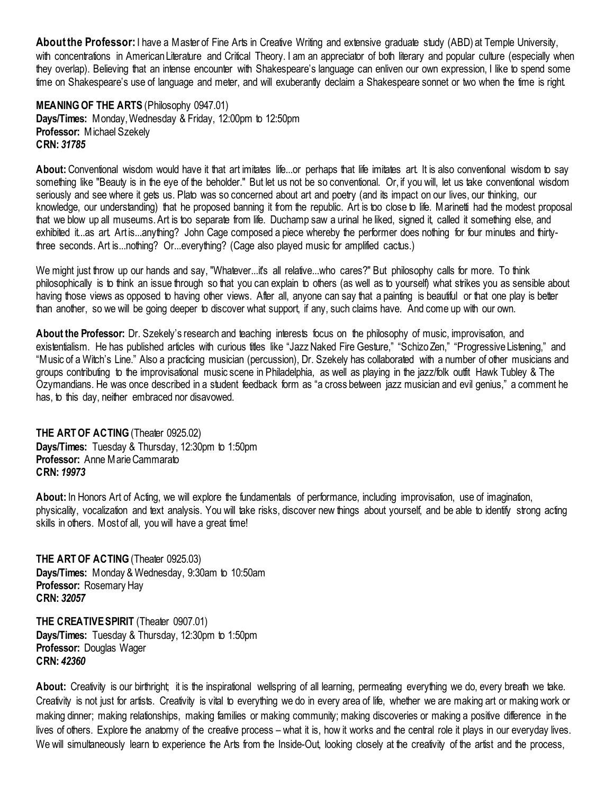**About the Professor:**I have a Master of Fine Arts in Creative Writing and extensive graduate study (ABD) at Temple University, with concentrations in American Literature and Critical Theory. I am an appreciator of both literary and popular culture (especially when they overlap). Believing that an intense encounter with Shakespeare's language can enliven our own expression, I like to spend some time on Shakespeare's use of language and meter, and will exuberantly declaim a Shakespeare sonnet or two when the time is right.

<span id="page-9-0"></span>**MEANING OF THE ARTS** (Philosophy 0947.01) **Days/Times:** Monday, Wednesday & Friday, 12:00pm to 12:50pm **Professor:** Michael Szekely **CRN:** *31785*

**About:** Conventional wisdom would have it that art imitates life...or perhaps that life imitates art. It is also conventional wisdom to say something like "Beauty is in the eye of the beholder." But let us not be so conventional. Or, if you will, let us take conventional wisdom seriously and see where it gets us. Plato was so concerned about art and poetry (and its impact on our lives, our thinking, our knowledge, our understanding) that he proposed banning it from the republic. Art is too close to life. Marinetti had the modest proposal that we blow up all museums. Art is too separate from life. Duchamp saw a urinal he liked, signed it, called it something else, and exhibited it...as art. Art is...anything? John Cage composed a piece whereby the performer does nothing for four minutes and thirtythree seconds. Art is...nothing? Or...everything? (Cage also played music for amplified cactus.)

We might just throw up our hands and say, "Whatever...it's all relative...who cares?" But philosophy calls for more. To think philosophically is to think an issue through so that you can explain to others (as well as to yourself) what strikes you as sensible about having those views as opposed to having other views. After all, anyone can say that a painting is beautiful or that one play is better than another, so we will be going deeper to discover what support, if any, such claims have. And come up with our own.

**About the Professor:** Dr. Szekely's research and teaching interests focus on the philosophy of music, improvisation, and existentialism. He has published articles with curious titles like "Jazz Naked Fire Gesture," "Schizo Zen," "Progressive Listening," and "Music of a Witch's Line." Also a practicing musician (percussion), Dr. Szekely has collaborated with a number of other musicians and groups contributing to the improvisational music scene in Philadelphia, as well as playing in the jazz/folk outfit Hawk Tubley & The Ozymandians. He was once described in a student feedback form as "a cross between jazz musician and evil genius," a comment he has, to this day, neither embraced nor disavowed.

<span id="page-9-1"></span>**THE ART OF ACTING (Theater 0925.02) Days/Times:** Tuesday & Thursday, 12:30pm to 1:50pm **Professor:** Anne Marie Cammarato **CRN:** *19973*

**About:** In Honors Art of Acting, we will explore the fundamentals of performance, including improvisation, use of imagination, physicality, vocalization and text analysis. You will take risks, discover new things about yourself, and be able to identify strong acting skills in others. Most of all, you will have a great time!

<span id="page-9-2"></span>**THE ART OF ACTING**(Theater 0925.03) **Days/Times:** Monday & Wednesday, 9:30am to 10:50am **Professor:** Rosemary Hay **CRN:** *32057*

<span id="page-9-3"></span>**THE CREATIVE SPIRIT** (Theater 0907.01) **Days/Times:** Tuesday & Thursday, 12:30pm to 1:50pm **Professor:** Douglas Wager **CRN:** *42360*

**About:** Creativity is our birthright; it is the inspirational wellspring of all learning, permeating everything we do, every breath we take. Creativity is not just for artists. Creativity is vital to everything we do in every area of life, whether we are making art or making work or making dinner; making relationships, making families or making community; making discoveries or making a positive difference in the lives of others. Explore the anatomy of the creative process – what it is, how it works and the central role it plays in our everyday lives. We will simultaneously learn to experience the Arts from the Inside-Out, looking closely at the creativity of the artist and the process,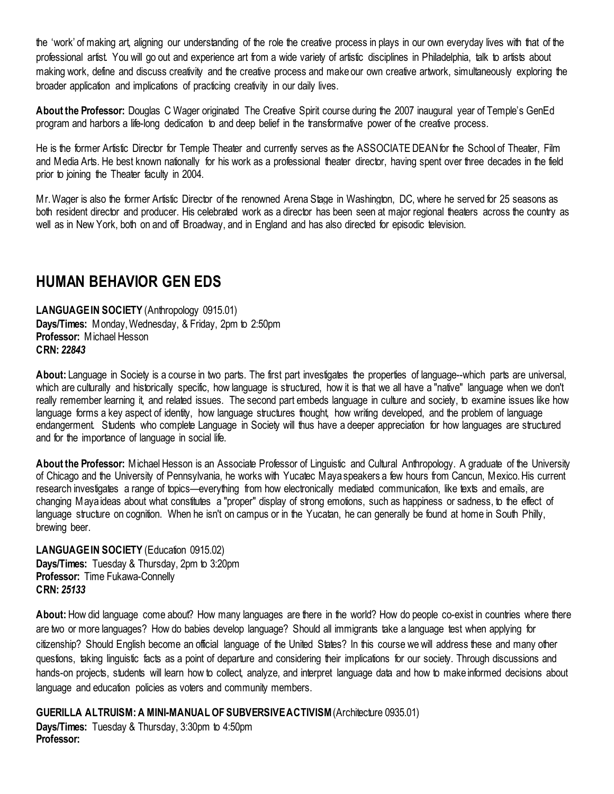the 'work' of making art, aligning our understanding of the role the creative process in plays in our own everyday lives with that of the professional artist. You will go out and experience art from a wide variety of artistic disciplines in Philadelphia, talk to artists about making work, define and discuss creativity and the creative process and make our own creative artwork, simultaneously exploring the broader application and implications of practicing creativity in our daily lives.

**About the Professor:** Douglas C Wager originated The Creative Spirit course during the 2007 inaugural year of Temple's GenEd program and harbors a life-long dedication to and deep belief in the transformative power of the creative process.

He is the former Artistic Director for Temple Theater and currently serves as the ASSOCIATE DEAN for the School of Theater, Film and Media Arts. He best known nationally for his work as a professional theater director, having spent over three decades in the field prior to joining the Theater faculty in 2004.

Mr. Wager is also the former Artistic Director of the renowned Arena Stage in Washington, DC, where he served for 25 seasons as both resident director and producer. His celebrated work as a director has been seen at major regional theaters across the country as well as in New York, both on and off Broadway, and in England and has also directed for episodic television.

## <span id="page-10-0"></span>**HUMAN BEHAVIOR GEN EDS**

<span id="page-10-1"></span>**LANGUAGE IN SOCIETY** (Anthropology 0915.01) **Days/Times:** Monday, Wednesday, & Friday, 2pm to 2:50pm **Professor:** Michael Hesson **CRN:** *22843*

About: Language in Society is a course in two parts. The first part investigates the properties of language--which parts are universal, which are culturally and historically specific, how language is structured, how it is that we all have a "native" language when we don't really remember learning it, and related issues. The second part embeds language in culture and society, to examine issues like how language forms a key aspect of identity, how language structures thought, how writing developed, and the problem of language endangerment. Students who complete Language in Society will thus have a deeper appreciation for how languages are structured and for the importance of language in social life.

**About the Professor:** Michael Hesson is an Associate Professor of Linguistic and Cultural Anthropology. A graduate of the University of Chicago and the University of Pennsylvania, he works with Yucatec Maya speakers a few hours from Cancun, Mexico. His current research investigates a range of topics—everything from how electronically mediated communication, like texts and emails, are changing Maya ideas about what constitutes a "proper" display of strong emotions, such as happiness or sadness, to the effect of language structure on cognition. When he isn't on campus or in the Yucatan, he can generally be found at home in South Philly, brewing beer.

<span id="page-10-2"></span>**LANGUAGE IN SOCIETY** (Education 0915.02) **Days/Times:** Tuesday & Thursday, 2pm to 3:20pm **Professor:** Time Fukawa-Connelly **CRN:** *25133*

**About:** How did language come about? How many languages are there in the world? How do people co-exist in countries where there are two or more languages? How do babies develop language? Should all immigrants take a language test when applying for citizenship? Should English become an official language of the United States? In this course we will address these and many other questions, taking linguistic facts as a point of departure and considering their implications for our society. Through discussions and hands-on projects, students will learn how to collect, analyze, and interpret language data and how to make informed decisions about language and education policies as voters and community members.

<span id="page-10-3"></span>**GUERILLA ALTRUISM: A MINI-MANUAL OF SUBVERSIVE ACTIVISM**(Architecture 0935.01) **Days/Times:** Tuesday & Thursday, 3:30pm to 4:50pm **Professor:**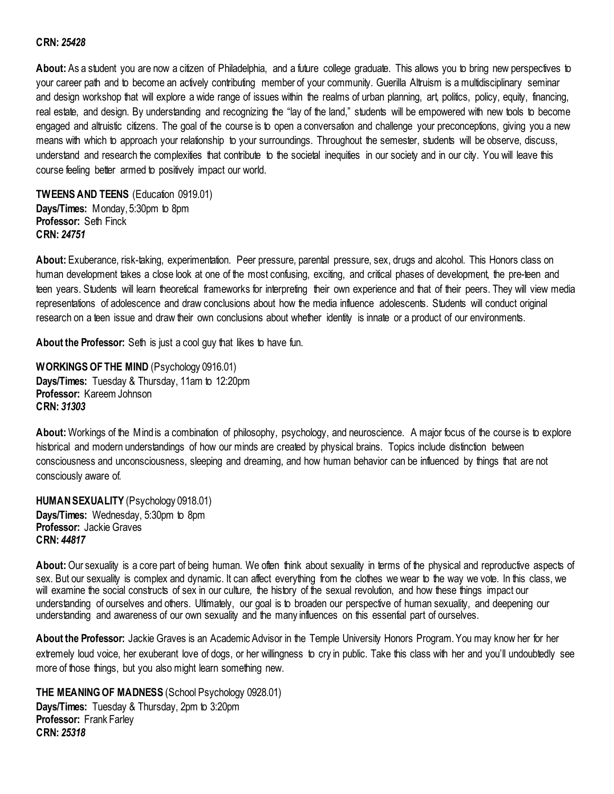#### **CRN:** *25428*

**About:** As a student you are now a citizen of Philadelphia, and a future college graduate. This allows you to bring new perspectives to your career path and to become an actively contributing member of your community. Guerilla Altruism is a multidisciplinary seminar and design workshop that will explore a wide range of issues within the realms of urban planning, art, politics, policy, equity, financing, real estate, and design. By understanding and recognizing the "lay of the land," students will be empowered with new tools to become engaged and altruistic citizens. The goal of the course is to open a conversation and challenge your preconceptions, giving you a new means with which to approach your relationship to your surroundings. Throughout the semester, students will be observe, discuss, understand and research the complexities that contribute to the societal inequities in our society and in our city. You will leave this course feeling better armed to positively impact our world.

<span id="page-11-0"></span>**TWEENS AND TEENS** (Education 0919.01) **Days/Times:** Monday, 5:30pm to 8pm **Professor:** Seth Finck **CRN:** *24751*

**About:** Exuberance, risk-taking, experimentation. Peer pressure, parental pressure, sex, drugs and alcohol. This Honors class on human development takes a close look at one of the most confusing, exciting, and critical phases of development, the pre-teen and teen years. Students will learn theoretical frameworks for interpreting their own experience and that of their peers. They will view media representations of adolescence and draw conclusions about how the media influence adolescents. Students will conduct original research on a teen issue and draw their own conclusions about whether identity is innate or a product of our environments.

**About the Professor:** Seth is just a cool guy that likes to have fun.

<span id="page-11-1"></span>**WORKINGS OF THE MIND** (Psychology 0916.01) **Days/Times:** Tuesday & Thursday, 11am to 12:20pm **Professor:** Kareem Johnson **CRN:** *31303*

**About:** Workings of the Mind is a combination of philosophy, psychology, and neuroscience. A major focus of the course is to explore historical and modern understandings of how our minds are created by physical brains. Topics include distinction between consciousness and unconsciousness, sleeping and dreaming, and how human behavior can be influenced by things that are not consciously aware of.

<span id="page-11-2"></span>**HUMAN SEXUALITY** (Psychology 0918.01) **Days/Times:** Wednesday, 5:30pm to 8pm **Professor:** Jackie Graves **CRN:** *44817*

**About:** Our sexuality is a core part of being human. We often think about sexuality in terms of the physical and reproductive aspects of sex. But our sexuality is complex and dynamic. It can affect everything from the clothes we wear to the way we vote. In this class, we will examine the social constructs of sex in our culture, the history of the sexual revolution, and how these things impact our understanding of ourselves and others. Ultimately, our goal is to broaden our perspective of human sexuality, and deepening our understanding and awareness of our own sexuality and the many influences on this essential part of ourselves.

**About the Professor:** Jackie Graves is an Academic Advisor in the Temple University Honors Program. You may know her for her extremely loud voice, her exuberant love of dogs, or her willingness to cry in public. Take this class with her and you'll undoubtedly see more of those things, but you also might learn something new.

<span id="page-11-3"></span>**THE MEANING OF MADNESS** (School Psychology 0928.01) **Days/Times:** Tuesday & Thursday, 2pm to 3:20pm **Professor:** Frank Farley **CRN:** *25318*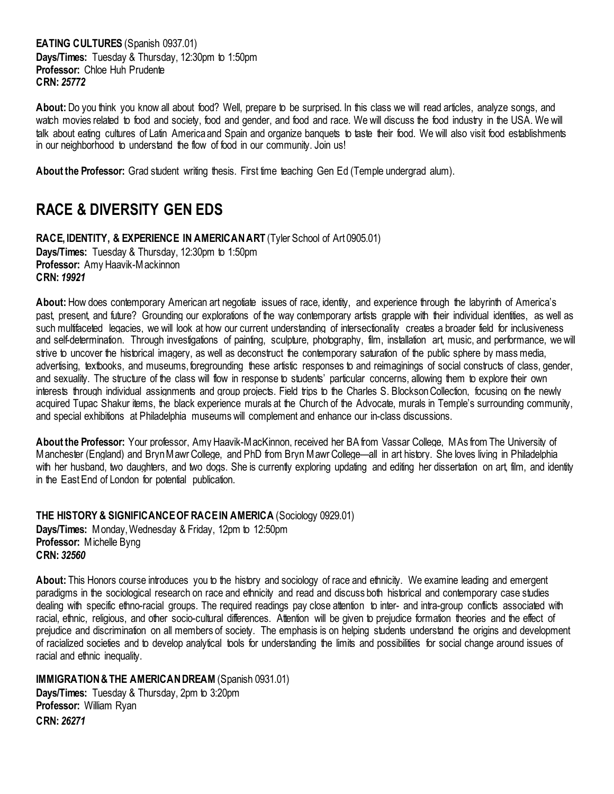<span id="page-12-0"></span>**EATING CULTURES** (Spanish 0937.01) **Days/Times:** Tuesday & Thursday, 12:30pm to 1:50pm **Professor:** Chloe Huh Prudente **CRN:** *25772*

**About:** Do you think you know all about food? Well, prepare to be surprised. In this class we will read articles, analyze songs, and watch movies related to food and society, food and gender, and food and race. We will discuss the food industry in the USA. We will talk about eating cultures of Latin America and Spain and organize banquets to taste their food. We will also visit food establishments in our neighborhood to understand the flow of food in our community. Join us!

**About the Professor:** Grad student writing thesis. First time teaching Gen Ed (Temple undergrad alum).

## <span id="page-12-1"></span>**RACE & DIVERSITY GEN EDS**

<span id="page-12-2"></span>**RACE, IDENTITY, & EXPERIENCE IN AMERICAN ART** (Tyler School of Art 0905.01) **Days/Times:** Tuesday & Thursday, 12:30pm to 1:50pm **Professor:** Amy Haavik-Mackinnon **CRN:** *19921*

**About:** How does contemporary American art negotiate issues of race, identity, and experience through the labyrinth of America's past, present, and future? Grounding our explorations of the way contemporary artists grapple with their individual identities, as well as such multifaceted legacies, we will look at how our current understanding of intersectionality creates a broader field for inclusiveness and self-determination. Through investigations of painting, sculpture, photography, film, installation art, music, and performance, we will strive to uncover the historical imagery, as well as deconstruct the contemporary saturation of the public sphere by mass media, advertising, textbooks, and museums, foregrounding these artistic responses to and reimaginings of social constructs of class, gender, and sexuality. The structure of the class will flow in response to students' particular concerns, allowing them to explore their own interests through individual assignments and group projects. Field trips to the Charles S. Blockson Collection, focusing on the newly acquired Tupac Shakur items, the black experience murals at the Church of the Advocate, murals in Temple's surrounding community, and special exhibitions at Philadelphia museums will complement and enhance our in-class discussions.

**About the Professor:** Your professor, Amy Haavik-MacKinnon, received her BA from Vassar College, MAs from The University of Manchester (England) and Bryn Mawr College, and PhD from Bryn Mawr College—all in art history. She loves living in Philadelphia with her husband, two daughters, and two dogs. She is currently exploring updating and editing her dissertation on art, film, and identity in the East End of London for potential publication.

<span id="page-12-3"></span>**THE HISTORY & SIGNIFICANCE OF RACE IN AMERICA** (Sociology 0929.01) **Days/Times:** Monday, Wednesday & Friday, 12pm to 12:50pm **Professor:** Michelle Byng **CRN:** *32560*

**About:** This Honors course introduces you to the history and sociology of race and ethnicity. We examine leading and emergent paradigms in the sociological research on race and ethnicity and read and discuss both historical and contemporary case studies dealing with specific ethno-racial groups. The required readings pay close attention to inter- and intra-group conflicts associated with racial, ethnic, religious, and other socio-cultural differences. Attention will be given to prejudice formation theories and the effect of prejudice and discrimination on all members of society. The emphasis is on helping students understand the origins and development of racialized societies and to develop analytical tools for understanding the limits and possibilities for social change around issues of racial and ethnic inequality.

#### <span id="page-12-4"></span>**IMMIGRATION & THE AMERICAN DREAM** (Spanish 0931.01)

**Days/Times:** Tuesday & Thursday, 2pm to 3:20pm **Professor:** William Ryan **CRN:** *26271*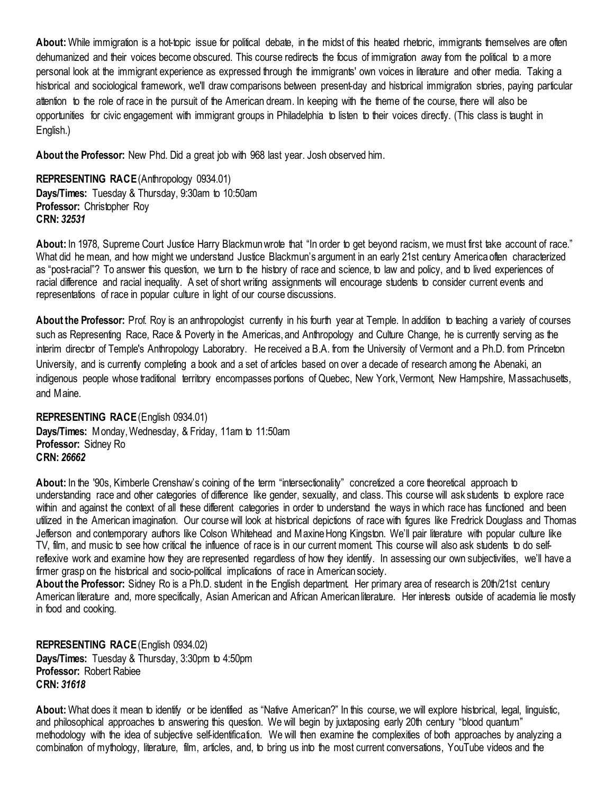**About:** While immigration is a hot-topic issue for political debate, in the midst of this heated rhetoric, immigrants themselves are often dehumanized and their voices become obscured. This course redirects the focus of immigration away from the political to a more personal look at the immigrant experience as expressed through the immigrants' own voices in literature and other media. Taking a historical and sociological framework, we'll draw comparisons between present-day and historical immigration stories, paying particular attention to the role of race in the pursuit of the American dream. In keeping with the theme of the course, there will also be opportunities for civic engagement with immigrant groups in Philadelphia to listen to their voices directly. (This class is taught in English.)

**About the Professor:** New Phd. Did a great job with 968 last year. Josh observed him.

<span id="page-13-0"></span>**REPRESENTING RACE**(Anthropology 0934.01) **Days/Times:** Tuesday & Thursday, 9:30am to 10:50am **Professor:** Christopher Roy **CRN:** *32531*

**About:** In 1978, Supreme Court Justice Harry Blackmun wrote that "In order to get beyond racism, we must first take account of race." What did he mean, and how might we understand Justice Blackmun's argument in an early 21st century America often characterized as "post-racial"? To answer this question, we turn to the history of race and science, to law and policy, and to lived experiences of racial difference and racial inequality. A set of short writing assignments will encourage students to consider current events and representations of race in popular culture in light of our course discussions.

**About the Professor:** Prof. Roy is an anthropologist currently in his fourth year at Temple. In addition to teaching a variety of courses such as Representing Race, Race & Poverty in the Americas, and Anthropology and Culture Change, he is currently serving as the interim director of Temple's Anthropology Laboratory. He received a B.A. from the University of Vermont and a Ph.D. from Princeton University, and is currently completing a book and a set of articles based on over a decade of research among the Abenaki, an indigenous people whose traditional territory encompasses portions of Quebec, New York, Vermont, New Hampshire, Massachusetts, and Maine.

<span id="page-13-1"></span>**REPRESENTING RACE**(English 0934.01) **Days/Times:** Monday, Wednesday, & Friday, 11am to 11:50am **Professor:** Sidney Ro **CRN:** *26662*

**About:** In the '90s, Kimberle Crenshaw's coining of the term "intersectionality" concretized a core theoretical approach to understanding race and other categories of difference like gender, sexuality, and class. This course will ask students to explore race within and against the context of all these different categories in order to understand the ways in which race has functioned and been utilized in the American imagination. Our course will look at historical depictions of race with figures like Fredrick Douglass and Thomas Jefferson and contemporary authors like Colson Whitehead and Maxine Hong Kingston. We'll pair literature with popular culture like TV, film, and music to see how critical the influence of race is in our current moment. This course will also ask students to do selfreflexive work and examine how they are represented regardless of how they identify. In assessing our own subjectivities, we'll have a firmer grasp on the historical and socio-political implications of race in American society.

**About the Professor:** Sidney Ro is a Ph.D. student in the English department. Her primary area of research is 20th/21st century American literature and, more specifically, Asian American and African American literature. Her interests outside of academia lie mostly in food and cooking.

<span id="page-13-2"></span>**REPRESENTING RACE**(English 0934.02) **Days/Times:** Tuesday & Thursday, 3:30pm to 4:50pm **Professor:** Robert Rabiee **CRN:** *31618*

**About:** What does it mean to identify or be identified as "Native American?" In this course, we will explore historical, legal, linguistic, and philosophical approaches to answering this question. We will begin by juxtaposing early 20th century "blood quantum" methodology with the idea of subjective self-identification. We will then examine the complexities of both approaches by analyzing a combination of mythology, literature, film, articles, and, to bring us into the most current conversations, YouTube videos and the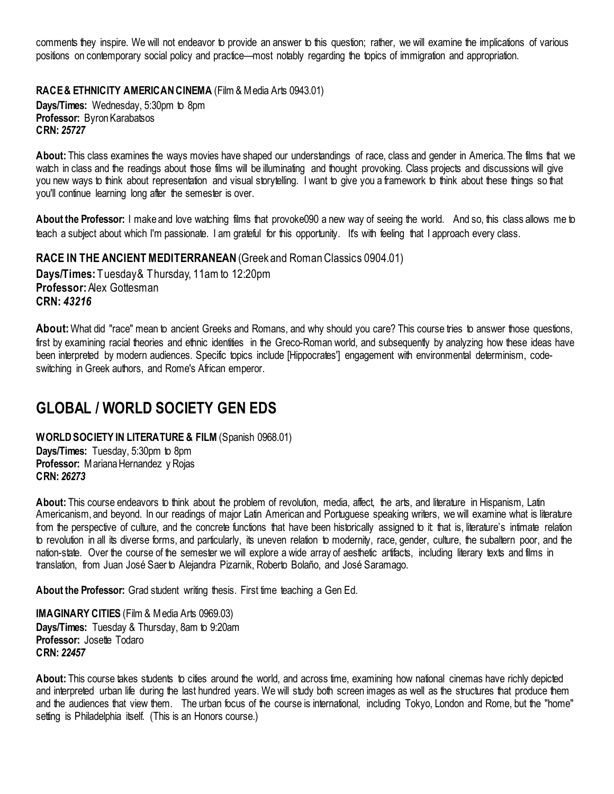comments they inspire. We will not endeavor to provide an answer to this question; rather, we will examine the implications of various positions on contemporary social policy and practice—most notably regarding the topics of immigration and appropriation.

<span id="page-14-0"></span>**RACE & ETHNICITY AMERICAN CINEMA** (Film & Media Arts 0943.01) **Days/Times:** Wednesday, 5:30pm to 8pm **Professor:** Byron Karabatsos **CRN:** *25727*

**About:** This class examines the ways movies have shaped our understandings of race, class and gender in America. The films that we watch in class and the readings about those films will be illuminating and thought provoking. Class projects and discussions will give you new ways to think about representation and visual storytelling. I want to give you a framework to think about these things so that you'll continue learning long after the semester is over.

**About the Professor:** I make and love watching films that provoke090 a new way of seeing the world. And so, this class allows me to teach a subject about which I'm passionate. I am grateful for this opportunity. It's with feeling that I approach every class.

<span id="page-14-1"></span>**RACE IN THE ANCIENT MEDITERRANEAN**(Greek and Roman Classics 0904.01) **Days/Times:** Tuesday & Thursday, 11am to 12:20pm **Professor: Alex Gottesman** 

**CRN:** *43216* **About:** What did "race" mean to ancient Greeks and Romans, and why should you care? This course tries to answer those questions, first by examining racial theories and ethnic identities in the Greco-Roman world, and subsequently by analyzing how these ideas have been interpreted by modern audiences. Specific topics include [Hippocrates'] engagement with environmental determinism, code-

## <span id="page-14-2"></span>**GLOBAL / WORLD SOCIETY GEN EDS**

switching in Greek authors, and Rome's African emperor.

<span id="page-14-3"></span>**WORLD SOCIETY IN LITERATURE & FILM** (Spanish 0968.01)

**Days/Times:** Tuesday, 5:30pm to 8pm **Professor:** Mariana Hernandez y Rojas **CRN:** *26273*

**About:** This course endeavors to think about the problem of revolution, media, affect, the arts, and literature in Hispanism, Latin Americanism, and beyond. In our readings of major Latin American and Portuguese speaking writers, we will examine what is literature from the perspective of culture, and the concrete functions that have been historically assigned to it that is, literature's intimate relation to revolution in all its diverse forms, and particularly, its uneven relation to modernity, race, gender, culture, the subaltern poor, and the nation-state. Over the course of the semester we will explore a wide array of aesthetic artifacts, including literary texts and films in translation, from Juan José Saer to Alejandra Pizarnik, Roberto Bolaño, and José Saramago.

About the Professor: Grad student writing thesis. First time teaching a Gen Ed.

<span id="page-14-4"></span>**IMAGINARY CITIES** (Film & Media Arts 0969.03) **Days/Times:** Tuesday & Thursday, 8am to 9:20am Professor: Josette Todaro **CRN:** *22457*

About: This course takes students to cities around the world, and across time, examining how national cinemas have richly depicted and interpreted urban life during the last hundred years. We will study both screen images as well as the structures that produce them and the audiences that view them. The urban focus of the course is international, including Tokyo, London and Rome, but the "home" setting is Philadelphia itself. (This is an Honors course.)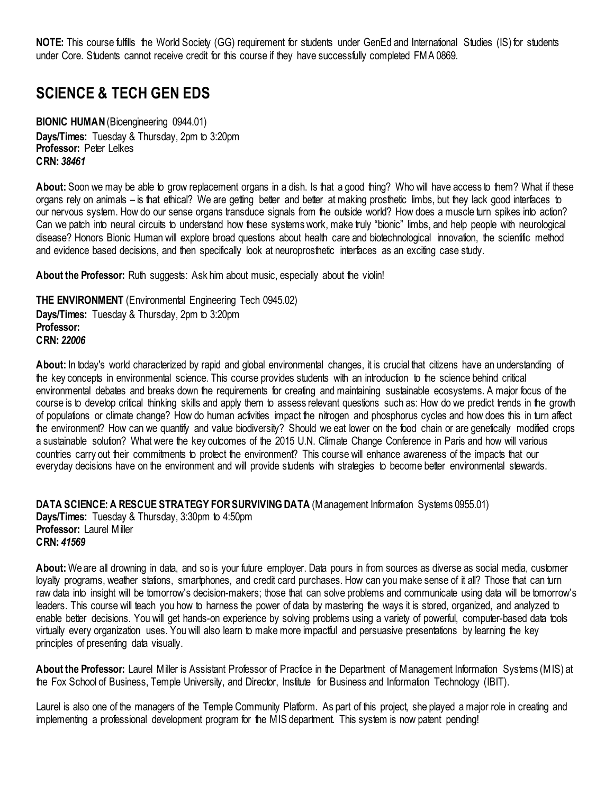**NOTE:** This course fulfills the World Society (GG) requirement for students under GenEd and International Studies (IS) for students under Core. Students cannot receive credit for this course if they have successfully completed FMA 0869.

## <span id="page-15-0"></span>**SCIENCE & TECH GEN EDS**

<span id="page-15-1"></span>**BIONIC HUMAN**(Bioengineering 0944.01) **Days/Times:** Tuesday & Thursday, 2pm to 3:20pm **Professor:** Peter Lelkes **CRN:** *38461*

**About:** Soon we may be able to grow replacement organs in a dish. Is that a good thing? Who will have access to them? What if these organs rely on animals – is that ethical? We are getting better and better at making prosthetic limbs, but they lack good interfaces to our nervous system. How do our sense organs transduce signals from the outside world? How does a muscle turn spikes into action? Can we patch into neural circuits to understand how these systems work, make truly "bionic" limbs, and help people with neurological disease? Honors Bionic Human will explore broad questions about health care and biotechnological innovation, the scientific method and evidence based decisions, and then specifically look at neuroprosthetic interfaces as an exciting case study.

About the Professor: Ruth suggests: Ask him about music, especially about the violin!

<span id="page-15-2"></span>**THE ENVIRONMENT** (Environmental Engineering Tech 0945.02) **Days/Times:** Tuesday & Thursday, 2pm to 3:20pm **Professor: CRN:** *22006*

**About:** In today's world characterized by rapid and global environmental changes, it is crucial that citizens have an understanding of the key concepts in environmental science. This course provides students with an introduction to the science behind critical environmental debates and breaks down the requirements for creating and maintaining sustainable ecosystems. A major focus of the course is to develop critical thinking skills and apply them to assess relevant questions such as: How do we predict trends in the growth of populations or climate change? How do human activities impact the nitrogen and phosphorus cycles and how does this in turn affect the environment? How can we quantify and value biodiversity? Should we eat lower on the food chain or are genetically modified crops a sustainable solution? What were the key outcomes of the 2015 U.N. Climate Change Conference in Paris and how will various countries carry out their commitments to protect the environment? This course will enhance awareness of the impacts that our everyday decisions have on the environment and will provide students with strategies to become better environmental stewards.

<span id="page-15-3"></span>**DATA SCIENCE: A RESCUE STRATEGY FOR SURVIVING DATA** (Management Information Systems 0955.01) **Days/Times:** Tuesday & Thursday, 3:30pm to 4:50pm **Professor:** Laurel Miller **CRN:** *41569*

**About:** We are all drowning in data, and so is your future employer. Data pours in from sources as diverse as social media, customer loyalty programs, weather stations, smartphones, and credit card purchases. How can you make sense of it all? Those that can turn raw data into insight will be tomorrow's decision-makers; those that can solve problems and communicate using data will be tomorrow's leaders. This course will teach you how to harness the power of data by mastering the ways it is stored, organized, and analyzed to enable better decisions. You will get hands-on experience by solving problems using a variety of powerful, computer-based data tools virtually every organization uses. You will also learn to make more impactful and persuasive presentations by learning the key principles of presenting data visually.

**About the Professor:** Laurel Miller is Assistant Professor of Practice in the Department of Management Information Systems (MIS) at the Fox School of Business, Temple University, and Director, Institute for Business and Information Technology (IBIT).

Laurel is also one of the managers of the Temple Community Platform. As part of this project, she played a major role in creating and implementing a professional development program for the MIS department. This system is now patent pending!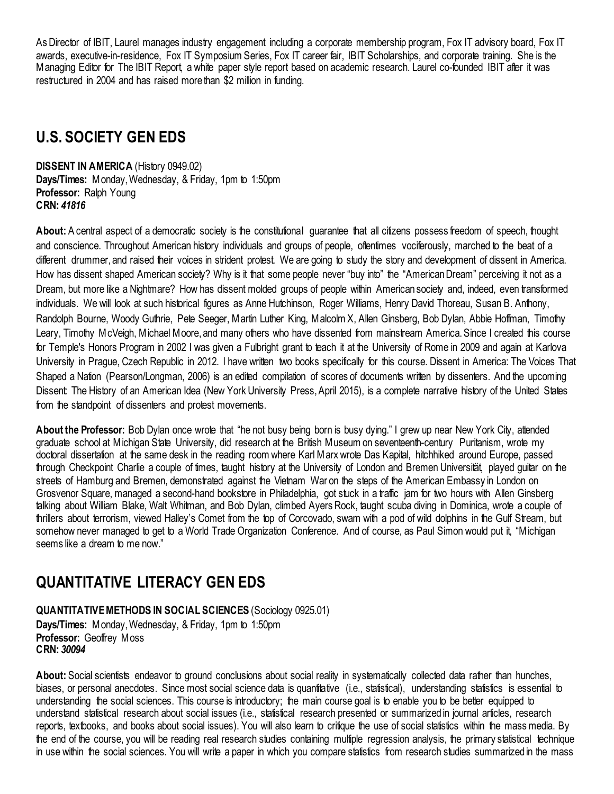As Director of IBIT, Laurel manages industry engagement including a corporate membership program, Fox IT advisory board, Fox IT awards, executive-in-residence, Fox IT Symposium Series, Fox IT career fair, IBIT Scholarships, and corporate training. She is the Managing Editor for The IBIT Report, a white paper style report based on academic research. Laurel co-founded IBIT after it was restructured in 2004 and has raised more than \$2 million in funding.

# <span id="page-16-0"></span>**U.S. SOCIETY GEN EDS**

<span id="page-16-1"></span>**DISSENT IN AMERICA** (History 0949.02) **Days/Times:** Monday, Wednesday, & Friday, 1pm to 1:50pm **Professor:** Ralph Young **CRN:** *41816*

About: A central aspect of a democratic society is the constitutional guarantee that all citizens possess freedom of speech, thought and conscience. Throughout American history individuals and groups of people, oftentimes vociferously, marched to the beat of a different drummer, and raised their voices in strident protest. We are going to study the story and development of dissent in America. How has dissent shaped American society? Why is it that some people never "buy into" the "American Dream" perceiving it not as a Dream, but more like a Nightmare? How has dissent molded groups of people within American society and, indeed, even transformed individuals. We will look at such historical figures as Anne Hutchinson, Roger Williams, Henry David Thoreau, Susan B. Anthony, Randolph Bourne, Woody Guthrie, Pete Seeger, Martin Luther King, Malcolm X, Allen Ginsberg, Bob Dylan, Abbie Hoffman, Timothy Leary, Timothy McVeigh, Michael Moore, and many others who have dissented from mainstream America. Since I created this course for Temple's Honors Program in 2002 I was given a Fulbright grant to teach it at the University of Rome in 2009 and again at Karlova University in Prague, Czech Republic in 2012. I have written two books specifically for this course. Dissent in America: The Voices That Shaped a Nation (Pearson/Longman, 2006) is an edited compilation of scores of documents written by dissenters. And the upcoming Dissent: The History of an American Idea (New York University Press, April 2015), is a complete narrative history of the United States from the standpoint of dissenters and protest movements.

**About the Professor:** Bob Dylan once wrote that "he not busy being born is busy dying." I grew up near New York City, attended graduate school at Michigan State University, did research at the British Museum on seventeenth-century Puritanism, wrote my doctoral dissertation at the same desk in the reading room where Karl Marx wrote Das Kapital, hitchhiked around Europe, passed through Checkpoint Charlie a couple of times, taught history at the University of London and Bremen Universität, played guitar on the streets of Hamburg and Bremen, demonstrated against the Vietnam War on the steps of the American Embassy in London on Grosvenor Square, managed a second-hand bookstore in Philadelphia, got stuck in a traffic jam for two hours with Allen Ginsberg talking about William Blake, Walt Whitman, and Bob Dylan, climbed Ayers Rock, taught scuba diving in Dominica, wrote a couple of thrillers about terrorism, viewed Halley's Comet from the top of Corcovado, swam with a pod of wild dolphins in the Gulf Stream, but somehow never managed to get to a World Trade Organization Conference. And of course, as Paul Simon would put it, "Michigan seems like a dream to me now."

# <span id="page-16-2"></span>**QUANTITATIVE LITERACY GEN EDS**

#### <span id="page-16-3"></span>**QUANTITATIVE METHODS IN SOCIAL SCIENCES** (Sociology 0925.01) **Days/Times:** Monday, Wednesday, & Friday, 1pm to 1:50pm **Professor:** Geoffrey Moss **CRN:** *30094*

**About:** Social scientists endeavor to ground conclusions about social reality in systematically collected data rather than hunches, biases, or personal anecdotes. Since most social science data is quantitative (i.e., statistical), understanding statistics is essential to understanding the social sciences. This course is introductory; the main course goal is to enable you to be better equipped to understand statistical research about social issues (i.e., statistical research presented or summarized in journal articles, research reports, textbooks, and books about social issues). You will also learn to critique the use of social statistics within the mass media. By the end of the course, you will be reading real research studies containing multiple regression analysis, the primary statistical technique in use within the social sciences. You will write a paper in which you compare statistics from research studies summarized in the mass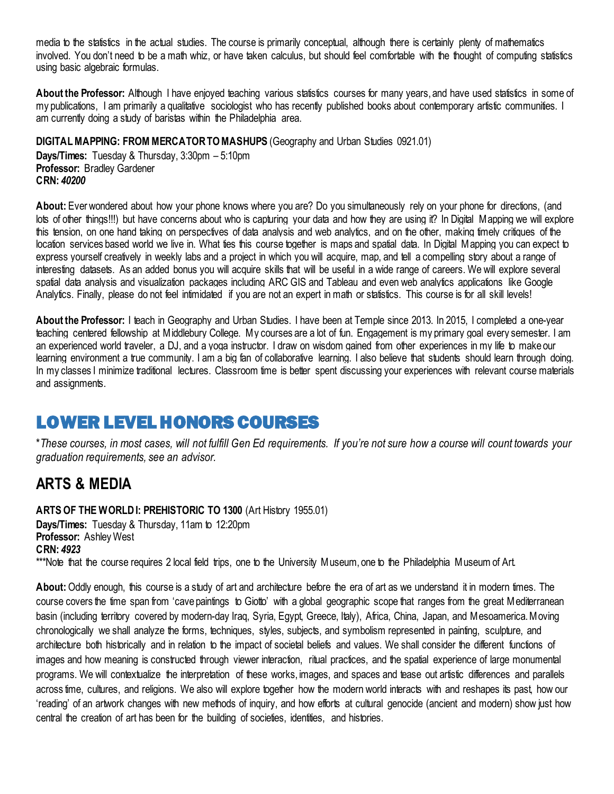media to the statistics in the actual studies. The course is primarily conceptual, although there is certainly plenty of mathematics involved. You don't need to be a math whiz, or have taken calculus, but should feel comfortable with the thought of computing statistics using basic algebraic formulas.

**About the Professor:** Although I have enjoyed teaching various statistics courses for many years, and have used statistics in some of my publications, I am primarily a qualitative sociologist who has recently published books about contemporary artistic communities. I am currently doing a study of baristas within the Philadelphia area.

### <span id="page-17-0"></span>**DIGITAL MAPPING: FROM MERCATOR TO MASHUPS** (Geography and Urban Studies 0921.01)

**Days/Times:** Tuesday & Thursday, 3:30pm – 5:10pm **Professor:** Bradley Gardener **CRN:** *40200*

**About:** Ever wondered about how your phone knows where you are? Do you simultaneously rely on your phone for directions, (and lots of other things!!!) but have concerns about who is capturing your data and how they are using it? In Digital Mapping we will explore this tension, on one hand taking on perspectives of data analysis and web analytics, and on the other, making timely critiques of the location services based world we live in. What ties this course together is maps and spatial data. In Digital Mapping you can expect to express yourself creatively in weekly labs and a project in which you will acquire, map, and tell a compelling story about a range of interesting datasets. As an added bonus you will acquire skills that will be useful in a wide range of careers. We will explore several spatial data analysis and visualization packages including ARC GIS and Tableau and even web analytics applications like Google Analytics. Finally, please do not feel intimidated if you are not an expert in math or statistics. This course is for all skill levels!

**About the Professor:** I teach in Geography and Urban Studies. I have been at Temple since 2013. In 2015, I completed a one-year teaching centered fellowship at Middlebury College. My courses are a lot of fun. Engagement is my primary goal every semester. I am an experienced world traveler, a DJ, and a yoga instructor. I draw on wisdom gained from other experiences in my life to make our learning environment a true community. I am a big fan of collaborative learning. I also believe that students should learn through doing. In my classes I minimize traditional lectures. Classroom time is better spent discussing your experiences with relevant course materials and assignments.

# <span id="page-17-1"></span>LOWER LEVEL HONORS COURSES

\**These courses, in most cases, will not fulfill Gen Ed requirements. If you're not sure how a course will count towards your graduation requirements, see an advisor.*

## <span id="page-17-2"></span>**ARTS & MEDIA**

<span id="page-17-3"></span>**ARTS OF THE WORLD I: PREHISTORIC TO 1300** (Art History 1955.01) **Days/Times:** Tuesday & Thursday, 11am to 12:20pm **Professor:** Ashley West **CRN:** *4923* \*\*\*Note that the course requires 2 local field trips, one to the University Museum, one to the Philadelphia Museum of Art.

**About:** Oddly enough, this course is a study of art and architecture before the era of art as we understand it in modern times. The course covers the time span from 'cave paintings to Giotto' with a global geographic scope that ranges from the great Mediterranean basin (including territory covered by modern-day Iraq, Syria, Egypt, Greece, Italy), Africa, China, Japan, and Mesoamerica. Moving chronologically we shall analyze the forms, techniques, styles, subjects, and symbolism represented in painting, sculpture, and architecture both historically and in relation to the impact of societal beliefs and values. We shall consider the different functions of images and how meaning is constructed through viewer interaction, ritual practices, and the spatial experience of large monumental programs. We will contextualize the interpretation of these works, images, and spaces and tease out artistic differences and parallels across time, cultures, and religions. We also will explore together how the modern world interacts with and reshapes its past, how our 'reading' of an artwork changes with new methods of inquiry, and how efforts at cultural genocide (ancient and modern) show just how central the creation of art has been for the building of societies, identities, and histories.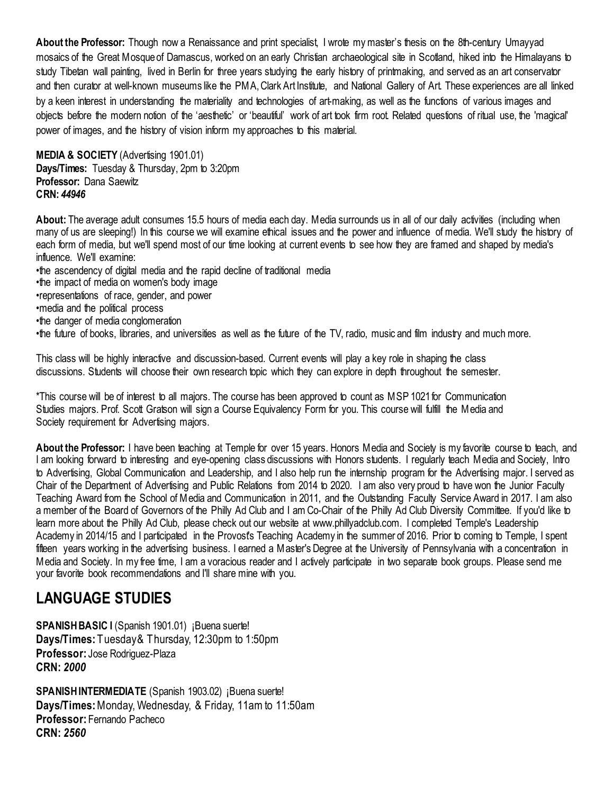**About the Professor:** Though now a Renaissance and print specialist, I wrote my master's thesis on the 8th-century Umayyad mosaics of the Great Mosque of Damascus, worked on an early Christian archaeological site in Scotland, hiked into the Himalayans to study Tibetan wall painting, lived in Berlin for three years studying the early history of printmaking, and served as an art conservator and then curator at well-known museums like the PMA, Clark Art Institute, and National Gallery of Art. These experiences are all linked by a keen interest in understanding the materiality and technologies of art-making, as well as the functions of various images and objects before the modern notion of the 'aesthetic' or 'beautiful' work of art took firm root. Related questions of ritual use, the 'magical' power of images, and the history of vision inform my approaches to this material.

<span id="page-18-0"></span>**MEDIA & SOCIETY** (Advertising 1901.01) **Days/Times:** Tuesday & Thursday, 2pm to 3:20pm **Professor:** Dana Saewitz **CRN:** *44946*

**About:** The average adult consumes 15.5 hours of media each day. Media surrounds us in all of our daily activities (including when many of us are sleeping!) In this course we will examine ethical issues and the power and influence of media. We'll study the history of each form of media, but we'll spend most of our time looking at current events to see how they are framed and shaped by media's influence. We'll examine:

- •the ascendency of digital media and the rapid decline of traditional media
- •the impact of media on women's body image
- •representations of race, gender, and power
- •media and the political process
- •the danger of media conglomeration

•the future of books, libraries, and universities as well as the future of the TV, radio, music and film industry and much more.

This class will be highly interactive and discussion-based. Current events will play a key role in shaping the class discussions. Students will choose their own research topic which they can explore in depth throughout the semester.

\*This course will be of interest to all majors. The course has been approved to count as MSP 1021 for Communication Studies majors. Prof. Scott Gratson will sign a Course Equivalency Form for you. This course will fulfill the Media and Society requirement for Advertising majors.

**About the Professor:** I have been teaching at Temple for over 15 years. Honors Media and Society is my favorite course to teach, and I am looking forward to interesting and eye-opening class discussions with Honors students. I regularly teach Media and Society, Intro to Advertising, Global Communication and Leadership, and I also help run the internship program for the Advertising major. I served as Chair of the Department of Advertising and Public Relations from 2014 to 2020. I am also very proud to have won the Junior Faculty Teaching Award from the School of Media and Communication in 2011, and the Outstanding Faculty Service Award in 2017. I am also a member of the Board of Governors of the Philly Ad Club and I am Co-Chair of the Philly Ad Club Diversity Committee. If you'd like to learn more about the Philly Ad Club, please check out our website at www.phillyadclub.com. I completed Temple's Leadership Academy in 2014/15 and I participated in the Provost's Teaching Academy in the summer of 2016. Prior to coming to Temple, I spent fifteen years working in the advertising business. I earned a Master's Degree at the University of Pennsylvania with a concentration in Media and Society. In my free time, I am a voracious reader and I actively participate in two separate book groups. Please send me your favorite book recommendations and I'll share mine with you.

## <span id="page-18-1"></span>**LANGUAGE STUDIES**

<span id="page-18-2"></span>**SPANISH BASIC I** (Spanish 1901.01) ¡Buena suerte! **Days/Times:** Tuesday & Thursday, 12:30pm to 1:50pm **Professor:** Jose Rodriguez-Plaza **CRN:** *2000*

<span id="page-18-3"></span>**SPANISH INTERMEDIATE** (Spanish 1903.02) ¡Buena suerte! **Days/Times:** Monday, Wednesday, & Friday, 11am to 11:50am **Professor:** Fernando Pacheco **CRN:** *2560*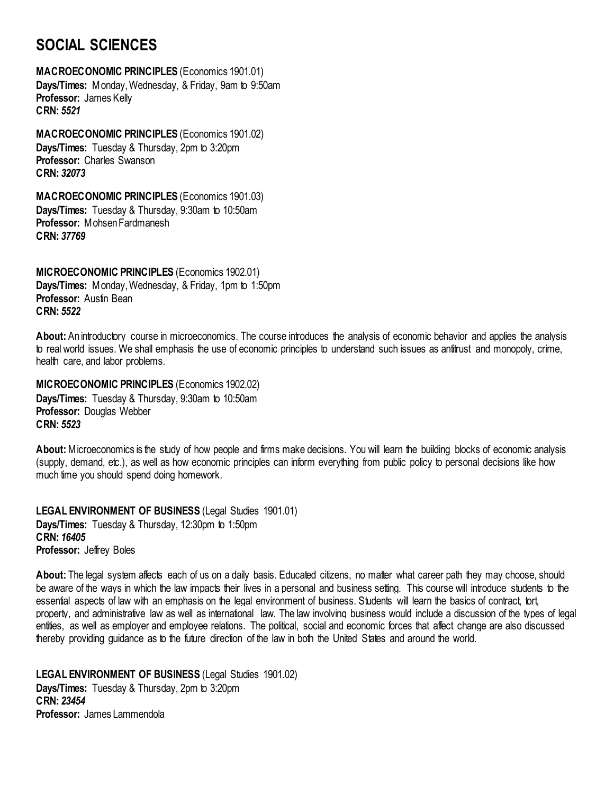## <span id="page-19-0"></span>**SOCIAL SCIENCES**

<span id="page-19-1"></span>**MACROECONOMIC PRINCIPLES** (Economics 1901.01) **Days/Times:** Monday, Wednesday, & Friday, 9am to 9:50am **Professor:** James Kelly **CRN:** *5521*

<span id="page-19-2"></span>**MACROECONOMIC PRINCIPLES** (Economics 1901.02) **Days/Times:** Tuesday & Thursday, 2pm to 3:20pm **Professor:** Charles Swanson **CRN:** *32073*

<span id="page-19-3"></span>**MACROECONOMIC PRINCIPLES** (Economics 1901.03) **Days/Times:** Tuesday & Thursday, 9:30am to 10:50am **Professor:** Mohsen Fardmanesh **CRN:** *37769*

<span id="page-19-4"></span>**MICROECONOMIC PRINCIPLES** (Economics 1902.01) **Days/Times:** Monday, Wednesday, & Friday, 1pm to 1:50pm **Professor:** Austin Bean **CRN:** *5522*

**About:** An introductory course in microeconomics. The course introduces the analysis of economic behavior and applies the analysis to real world issues. We shall emphasis the use of economic principles to understand such issues as antitrust and monopoly, crime, health care, and labor problems.

<span id="page-19-5"></span>**MICROECONOMIC PRINCIPLES** (Economics 1902.02) **Days/Times:** Tuesday & Thursday, 9:30am to 10:50am **Professor:** Douglas Webber **CRN:** *5523*

**About:** Microeconomics is the study of how people and firms make decisions. You will learn the building blocks of economic analysis (supply, demand, etc.), as well as how economic principles can inform everything from public policy to personal decisions like how much time you should spend doing homework.

<span id="page-19-6"></span>**LEGAL ENVIRONMENT OF BUSINESS** (Legal Studies 1901.01) **Days/Times:** Tuesday & Thursday, 12:30pm to 1:50pm **CRN:** *16405* **Professor:** Jeffrey Boles

**About:** The legal system affects each of us on a daily basis. Educated citizens, no matter what career path they may choose, should be aware of the ways in which the law impacts their lives in a personal and business setting. This course will introduce students to the essential aspects of law with an emphasis on the legal environment of business. Students will learn the basics of contract, tort, property, and administrative law as well as international law. The law involving business would include a discussion of the types of legal entities, as well as employer and employee relations. The political, social and economic forces that affect change are also discussed thereby providing guidance as to the future direction of the law in both the United States and around the world.

<span id="page-19-7"></span>**LEGAL ENVIRONMENT OF BUSINESS** (Legal Studies 1901.02) **Days/Times:** Tuesday & Thursday, 2pm to 3:20pm **CRN:** *23454* **Professor:** James Lammendola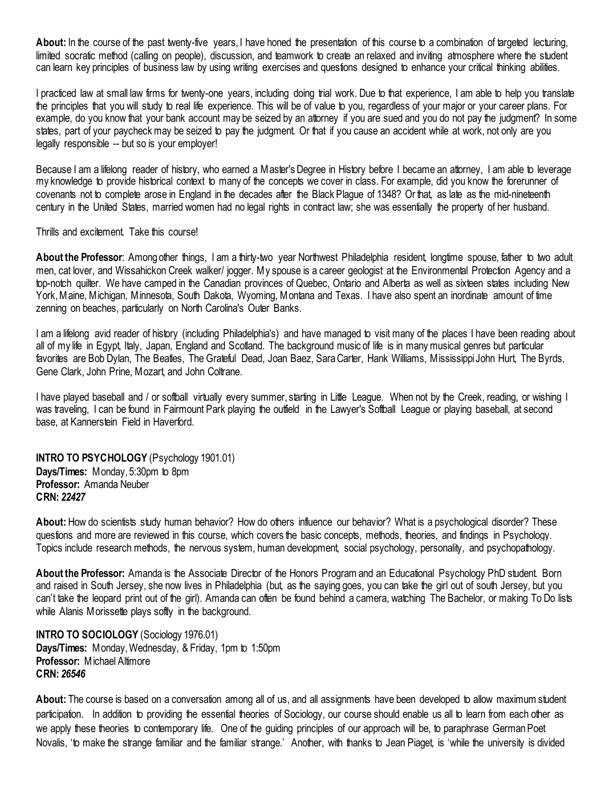About: In the course of the past twenty-five years, I have honed the presentation of this course to a combination of targeted lecturing, limited socratic method (calling on people), discussion, and teamwork to create an relaxed and inviting atmosphere where the student can learn key principles of business law by using writing exercises and questions designed to enhance your critical thinking abilities.

I practiced law at small law firms for twenty-one years, including doing trial work. Due to that experience, I am able to help you translate the principles that you will study to real life experience. This will be of value to you, regardless of your major or your career plans. For example, do you know that your bank account may be seized by an attorney if you are sued and you do not pay the judgment? In some states, part of your paycheck may be seized to pay the judgment. Or that if you cause an accident while at work, not only are you legally responsible -- but so is your employer!

Because I am a lifelong reader of history, who earned a Master's Degree in History before I became an attorney, I am able to leverage my knowledge to provide historical context to many of the concepts we cover in class. For example, did you know the forerunner of covenants not to complete arose in England in the decades after the Black Plague of 1348? Or that, as late as the mid-nineteenth century in the United States, married women had no legal rights in contract law; she was essentially the property of her husband.

Thrills and excitement. Take this course!

**About the Professor**: Among other things, I am a thirty-two year Northwest Philadelphia resident, longtime spouse, father to two adult men, cat lover, and Wissahickon Creek walker/ jogger. My spouse is a career geologist at the Environmental Protection Agency and a top-notch quilter. We have camped in the Canadian provinces of Quebec, Ontario and Alberta as well as sixteen states including New York, Maine, Michigan, Minnesota, South Dakota, Wyoming, Montana and Texas. I have also spent an inordinate amount of time zenning on beaches, particularly on North Carolina's Outer Banks.

I am a lifelong avid reader of history (including Philadelphia's) and have managed to visit many of the places I have been reading about all of my life in Egypt, Italy, Japan, England and Scotland. The background music of life is in many musical genres but particular favorites are Bob Dylan, The Beatles, The Grateful Dead, Joan Baez, Sara Carter, Hank Williams, Mississippi John Hurt, The Byrds, Gene Clark, John Prine, Mozart, and John Coltrane.

I have played baseball and / or softball virtually every summer, starting in Little League. When not by the Creek, reading, or wishing I was traveling, I can be found in Fairmount Park playing the outfield in the Lawyer's Softball League or playing baseball, at second base, at Kannerstein Field in Haverford.

<span id="page-20-0"></span>**INTRO TO PSYCHOLOGY** (Psychology 1901.01) **Days/Times:** Monday, 5:30pm to 8pm **Professor:** Amanda Neuber **CRN:** *22427*

**About:** How do scientists study human behavior? How do others influence our behavior? What is a psychological disorder? These questions and more are reviewed in this course, which covers the basic concepts, methods, theories, and findings in Psychology. Topics include research methods, the nervous system, human development, social psychology, personality, and psychopathology.

**About the Professor:** Amanda is the Associate Director of the Honors Program and an Educational Psychology PhD student. Born and raised in South Jersey, she now lives in Philadelphia (but, as the saying goes, you can take the girl out of south Jersey, but you can't take the leopard print out of the girl). Amanda can often be found behind a camera, watching The Bachelor, or making To Do lists while Alanis Morissette plays softly in the background.

<span id="page-20-1"></span>**INTRO TO SOCIOLOGY** (Sociology 1976.01) **Days/Times:** Monday, Wednesday, & Friday, 1pm to 1:50pm **Professor: Michael Altimore CRN:** *26546*

**About:** The course is based on a conversation among all of us, and all assignments have been developed to allow maximum student participation. In addition to providing the essential theories of Sociology, our course should enable us all to learn from each other as we apply these theories to contemporary life. One of the guiding principles of our approach will be, to paraphrase German Poet Novalis, 'to make the strange familiar and the familiar strange.' Another, with thanks to Jean Piaget, is 'while the university is divided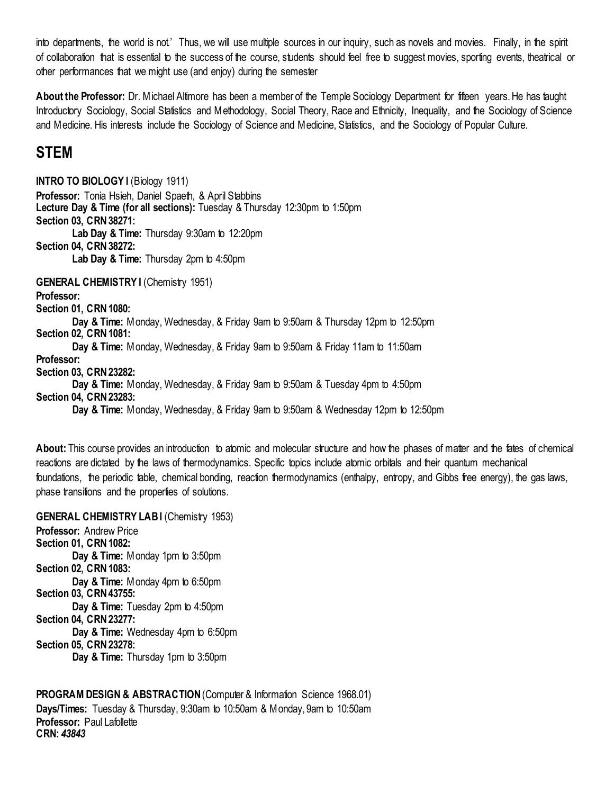into departments, the world is not.' Thus, we will use multiple sources in our inquiry, such as novels and movies. Finally, in the spirit of collaboration that is essential to the success of the course, students should feel free to suggest movies, sporting events, theatrical or other performances that we might use (and enjoy) during the semester

**About the Professor:** Dr. Michael Altimore has been a member of the Temple Sociology Department for fifteen years. He has taught Introductory Sociology, Social Statistics and Methodology, Social Theory, Race and Ethnicity, Inequality, and the Sociology of Science and Medicine. His interests include the Sociology of Science and Medicine, Statistics, and the Sociology of Popular Culture.

## <span id="page-21-0"></span>**STEM**

<span id="page-21-2"></span><span id="page-21-1"></span>**INTRO TO BIOLOGY I** (Biology 1911) **Professor:** Tonia Hsieh, Daniel Spaeth, & April Stabbins **Lecture Day & Time (for all sections):** Tuesday & Thursday 12:30pm to 1:50pm **Section 03, CRN 38271: Lab Day & Time:** Thursday 9:30am to 12:20pm **Section 04, CRN 38272: Lab Day & Time:** Thursday 2pm to 4:50pm **GENERAL CHEMISTRY I** (Chemistry 1951) **Professor: Section 01, CRN 1080: Day & Time:** Monday, Wednesday, & Friday 9am to 9:50am & Thursday 12pm to 12:50pm **Section 02, CRN 1081: Day & Time:** Monday, Wednesday, & Friday 9am to 9:50am & Friday 11am to 11:50am **Professor: Section 03, CRN 23282: Day & Time:** Monday, Wednesday, & Friday 9am to 9:50am & Tuesday 4pm to 4:50pm **Section 04, CRN 23283: Day & Time:** Monday, Wednesday, & Friday 9am to 9:50am & Wednesday 12pm to 12:50pm

**About:** This course provides an introduction to atomic and molecular structure and how the phases of matter and the fates of chemical reactions are dictated by the laws of thermodynamics. Specific topics include atomic orbitals and their quantum mechanical foundations, the periodic table, chemical bonding, reaction thermodynamics (enthalpy, entropy, and Gibbs free energy), the gas laws, phase transitions and the properties of solutions.

<span id="page-21-3"></span>**GENERAL CHEMISTRY LABI** (Chemistry 1953) **Professor:** Andrew Price **Section 01, CRN 1082: Day & Time:** Monday 1pm to 3:50pm **Section 02, CRN 1083: Day & Time:** Monday 4pm to 6:50pm **Section 03, CRN 43755: Day & Time:** Tuesday 2pm to 4:50pm **Section 04, CRN 23277: Day & Time:** Wednesday 4pm to 6:50pm **Section 05, CRN 23278: Day & Time:** Thursday 1pm to 3:50pm

<span id="page-21-4"></span>**PROGRAM DESIGN & ABSTRACTION (Computer & Information Science 1968.01) Days/Times:** Tuesday & Thursday, 9:30am to 10:50am & Monday, 9am to 10:50am **Professor:** Paul Lafollette **CRN:** *43843*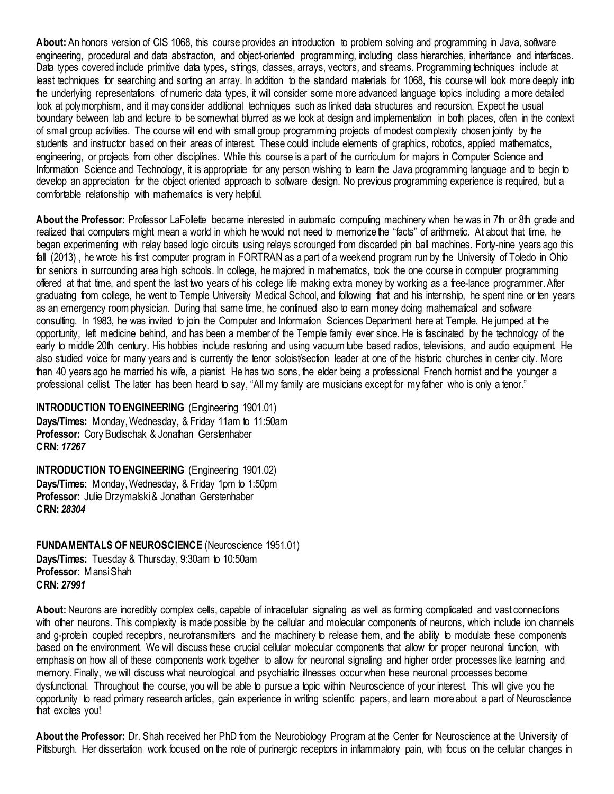**About:** An honors version of CIS 1068, this course provides an introduction to problem solving and programming in Java, software engineering, procedural and data abstraction, and object-oriented programming, including class hierarchies, inheritance and interfaces. Data types covered include primitive data types, strings, classes, arrays, vectors, and streams. Programming techniques include at least techniques for searching and sorting an array. In addition to the standard materials for 1068, this course will look more deeply into the underlying representations of numeric data types, it will consider some more advanced language topics including a more detailed look at polymorphism, and it may consider additional techniques such as linked data structures and recursion. Expect the usual boundary between lab and lecture to be somewhat blurred as we look at design and implementation in both places, often in the context of small group activities. The course will end with small group programming projects of modest complexity chosen jointly by the students and instructor based on their areas of interest. These could include elements of graphics, robotics, applied mathematics, engineering, or projects from other disciplines. While this course is a part of the curriculum for majors in Computer Science and Information Science and Technology, it is appropriate for any person wishing to learn the Java programming language and to begin to develop an appreciation for the object oriented approach to software design. No previous programming experience is required, but a comfortable relationship with mathematics is very helpful.

**About the Professor:** Professor LaFollette became interested in automatic computing machinery when he was in 7th or 8th grade and realized that computers might mean a world in which he would not need to memorize the "facts" of arithmetic. At about that time, he began experimenting with relay based logic circuits using relays scrounged from discarded pin ball machines. Forty-nine years ago this fall (2013) , he wrote his first computer program in FORTRAN as a part of a weekend program run by the University of Toledo in Ohio for seniors in surrounding area high schools. In college, he majored in mathematics, took the one course in computer programming offered at that time, and spent the last two years of his college life making extra money by working as a free-lance programmer. After graduating from college, he went to Temple University Medical School, and following that and his internship, he spent nine or ten years as an emergency room physician. During that same time, he continued also to earn money doing mathematical and software consulting. In 1983, he was invited to join the Computer and Information Sciences Department here at Temple. He jumped at the opportunity, left medicine behind, and has been a member of the Temple family ever since. He is fascinated by the technology of the early to middle 20th century. His hobbies include restoring and using vacuum tube based radios, televisions, and audio equipment. He also studied voice for many years and is currently the tenor soloist/section leader at one of the historic churches in center city. More than 40 years ago he married his wife, a pianist. He has two sons, the elder being a professional French hornist and the younger a professional cellist. The latter has been heard to say, "All my family are musicians except for my father who is only a tenor."

<span id="page-22-0"></span>**INTRODUCTION TO ENGINEERING** (Engineering 1901.01) **Days/Times:** Monday, Wednesday, & Friday 11am to 11:50am **Professor:** Cory Budischak & Jonathan Gerstenhaber **CRN:** *17267*

<span id="page-22-1"></span>**INTRODUCTION TO ENGINEERING** (Engineering 1901.02) **Days/Times:** Monday, Wednesday, & Friday 1pm to 1:50pm Professor: Julie Drzymalski & Jonathan Gerstenhaber **CRN:** *28304*

<span id="page-22-2"></span>**FUNDAMENTALS OF NEUROSCIENCE** (Neuroscience 1951.01) **Days/Times:** Tuesday & Thursday, 9:30am to 10:50am **Professor:** Mansi Shah **CRN:** *27991*

**About:** Neurons are incredibly complex cells, capable of intracellular signaling as well as forming complicated and vast connections with other neurons. This complexity is made possible by the cellular and molecular components of neurons, which include ion channels and g-protein coupled receptors, neurotransmitters and the machinery to release them, and the ability to modulate these components based on the environment. We will discuss these crucial cellular molecular components that allow for proper neuronal function, with emphasis on how all of these components work together to allow for neuronal signaling and higher order processes like learning and memory. Finally, we will discuss what neurological and psychiatric illnesses occur when these neuronal processes become dysfunctional. Throughout the course, you will be able to pursue a topic within Neuroscience of your interest. This will give you the opportunity to read primary research articles, gain experience in writing scientific papers, and learn more about a part of Neuroscience that excites you!

**About the Professor:** Dr. Shah received her PhD from the Neurobiology Program at the Center for Neuroscience at the University of Pittsburgh. Her dissertation work focused on the role of purinergic receptors in inflammatory pain, with focus on the cellular changes in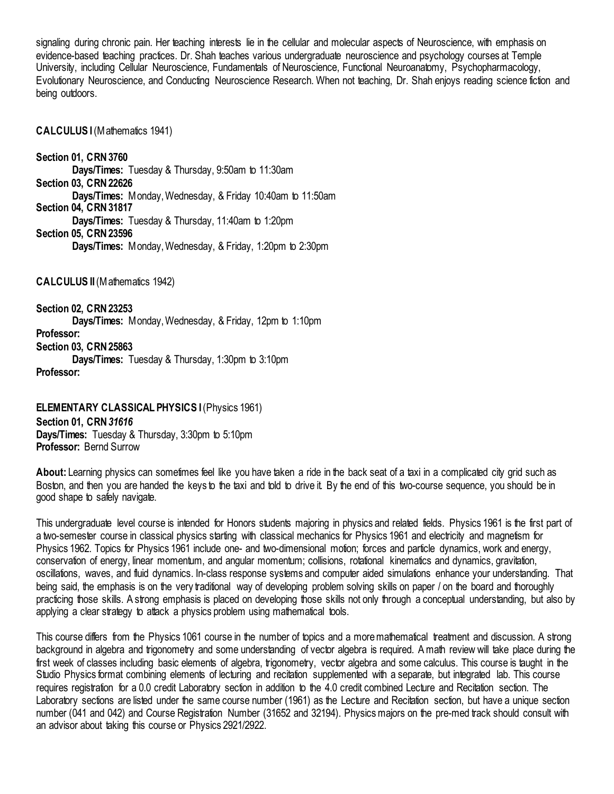signaling during chronic pain. Her teaching interests lie in the cellular and molecular aspects of Neuroscience, with emphasis on evidence-based teaching practices. Dr. Shah teaches various undergraduate neuroscience and psychology courses at Temple University, including Cellular Neuroscience, Fundamentals of Neuroscience, Functional Neuroanatomy, Psychopharmacology, Evolutionary Neuroscience, and Conducting Neuroscience Research. When not teaching, Dr. Shah enjoys reading science fiction and being outdoors.

<span id="page-23-0"></span>**CALCULUS I**(Mathematics 1941)

**Section 01, CRN 3760 Days/Times:** Tuesday & Thursday, 9:50am to 11:30am **Section 03, CRN 22626 Days/Times:** Monday, Wednesday, & Friday 10:40am to 11:50am **Section 04, CRN 31817 Days/Times:** Tuesday & Thursday, 11:40am to 1:20pm **Section 05, CRN 23596 Days/Times:** Monday, Wednesday, & Friday, 1:20pm to 2:30pm

<span id="page-23-1"></span>**CALCULUS II** (Mathematics 1942)

**Section 02, CRN 23253 Days/Times:** Monday, Wednesday, & Friday, 12pm to 1:10pm **Professor: Section 03, CRN 25863 Days/Times:** Tuesday & Thursday, 1:30pm to 3:10pm **Professor:**

<span id="page-23-2"></span>**ELEMENTARY CLASSICAL PHYSICS I (Physics 1961) Section 01, CRN** *31616* **Days/Times:** Tuesday & Thursday, 3:30pm to 5:10pm **Professor:** Bernd Surrow

**About:** Learning physics can sometimes feel like you have taken a ride in the back seat of a taxi in a complicated city grid such as Boston, and then you are handed the keys to the taxi and told to drive it. By the end of this two-course sequence, you should be in good shape to safely navigate.

This undergraduate level course is intended for Honors students majoring in physics and related fields. Physics 1961 is the first part of a two-semester course in classical physics starting with classical mechanics for Physics 1961 and electricity and magnetism for Physics 1962. Topics for Physics 1961 include one- and two-dimensional motion; forces and particle dynamics, work and energy, conservation of energy, linear momentum, and angular momentum; collisions, rotational kinematics and dynamics, gravitation, oscillations, waves, and fluid dynamics. In-class response systems and computer aided simulations enhance your understanding. That being said, the emphasis is on the very traditional way of developing problem solving skills on paper / on the board and thoroughly practicing those skills. A strong emphasis is placed on developing those skills not only through a conceptual understanding, but also by applying a clear strategy to attack a physics problem using mathematical tools.

This course differs from the Physics 1061 course in the number of topics and a more mathematical treatment and discussion. A strong background in algebra and trigonometry and some understanding of vector algebra is required. A math review will take place during the first week of classes including basic elements of algebra, trigonometry, vector algebra and some calculus. This course is taught in the Studio Physics format combining elements of lecturing and recitation supplemented with a separate, but integrated lab. This course requires registration for a 0.0 credit Laboratory section in addition to the 4.0 credit combined Lecture and Recitation section. The Laboratory sections are listed under the same course number (1961) as the Lecture and Recitation section, but have a unique section number (041 and 042) and Course Registration Number (31652 and 32194). Physics majors on the pre-med track should consult with an advisor about taking this course or Physics 2921/2922.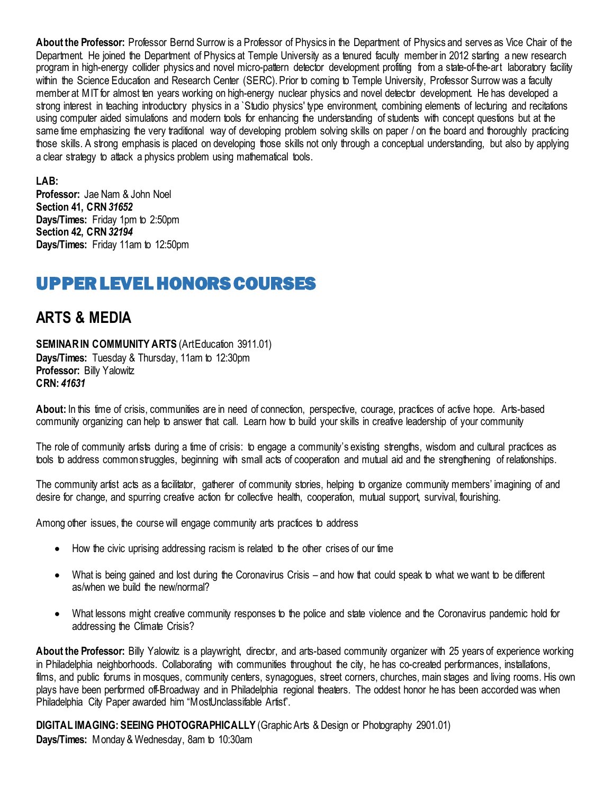**About the Professor:** Professor Bernd Surrow is a Professor of Physics in the Department of Physics and serves as Vice Chair of the Department. He joined the Department of Physics at Temple University as a tenured faculty member in 2012 starting a new research program in high-energy collider physics and novel micro-pattern detector development profiting from a state-of-the-art laboratory facility within the Science Education and Research Center (SERC). Prior to coming to Temple University, Professor Surrow was a faculty member at MIT for almost ten years working on high-energy nuclear physics and novel detector development. He has developed a strong interest in teaching introductory physics in a Studio physics' type environment, combining elements of lecturing and recitations using computer aided simulations and modern tools for enhancing the understanding of students with concept questions but at the same time emphasizing the very traditional way of developing problem solving skills on paper / on the board and thoroughly practicing those skills. A strong emphasis is placed on developing those skills not only through a conceptual understanding, but also by applying a clear strategy to attack a physics problem using mathematical tools.

### **LAB:**

**Professor:** Jae Nam & John Noel **Section 41, CRN** *31652* **Days/Times:** Friday 1pm to 2:50pm **Section 42, CRN** *32194* **Days/Times:** Friday 11am to 12:50pm

## <span id="page-24-0"></span>UPPER LEVEL HONORS COURSES

## <span id="page-24-1"></span>**ARTS & MEDIA**

<span id="page-24-2"></span>**SEMINAR IN COMMUNITY ARTS (ArtEducation 3911.01) Days/Times:** Tuesday & Thursday, 11am to 12:30pm **Professor:** Billy Yalowitz **CRN:** *41631*

About: In this time of crisis, communities are in need of connection, perspective, courage, practices of active hope. Arts-based community organizing can help to answer that call. Learn how to build your skills in creative leadership of your community

The role of community artists during a time of crisis: to engage a community's existing strengths, wisdom and cultural practices as tools to address common struggles, beginning with small acts of cooperation and mutual aid and the strengthening of relationships.

The community artist acts as a facilitator, gatherer of community stories, helping to organize community members' imagining of and desire for change, and spurring creative action for collective health, cooperation, mutual support, survival, flourishing.

Among other issues, the course will engage community arts practices to address

- How the civic uprising addressing racism is related to the other crises of our time
- What is being gained and lost during the Coronavirus Crisis and how that could speak to what we want to be different as/when we build the new/normal?
- What lessons might creative community responses to the police and state violence and the Coronavirus pandemic hold for addressing the Climate Crisis?

**About the Professor:** Billy Yalowitz is a playwright, director, and arts-based community organizer with 25 years of experience working in Philadelphia neighborhoods. Collaborating with communities throughout the city, he has co-created performances, installations, films, and public forums in mosques, community centers, synagogues, street corners, churches, main stages and living rooms. His own plays have been performed off-Broadway and in Philadelphia regional theaters. The oddest honor he has been accorded was when Philadelphia City Paper awarded him "MostUnclassifable Artist".

<span id="page-24-3"></span>**DIGITAL IMAGING: SEEING PHOTOGRAPHICALLY** (Graphic Arts & Design or Photography 2901.01) **Days/Times:** Monday & Wednesday, 8am to 10:30am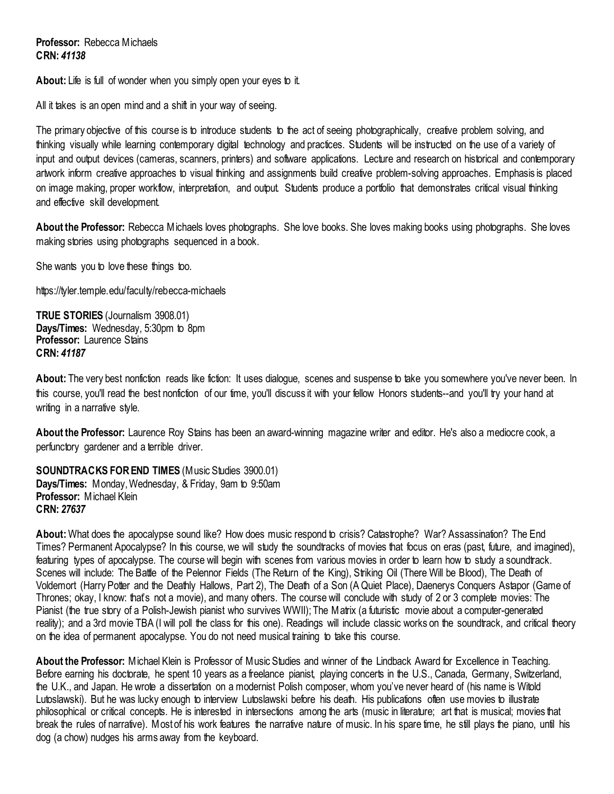**Professor:** Rebecca Michaels **CRN:** *41138*

**About:** Life is full of wonder when you simply open your eyes to it.

All it takes is an open mind and a shift in your way of seeing.

The primary objective of this course is to introduce students to the act of seeing photographically, creative problem solving, and thinking visually while learning contemporary digital technology and practices. Students will be instructed on the use of a variety of input and output devices (cameras, scanners, printers) and software applications. Lecture and research on historical and contemporary artwork inform creative approaches to visual thinking and assignments build creative problem-solving approaches. Emphasis is placed on image making, proper workflow, interpretation, and output. Students produce a portfolio that demonstrates critical visual thinking and effective skill development.

**About the Professor:** Rebecca Michaels loves photographs. She love books. She loves making books using photographs. She loves making stories using photographs sequenced in a book.

She wants you to love these things too.

https://tyler.temple.edu/faculty/rebecca-michaels

<span id="page-25-0"></span>**TRUE STORIES** (Journalism 3908.01) **Days/Times:** Wednesday, 5:30pm to 8pm **Professor:** Laurence Stains **CRN:** *41187*

**About:** The very best nonfiction reads like fiction: It uses dialogue, scenes and suspense to take you somewhere you've never been. In this course, you'll read the best nonfiction of our time, you'll discuss it with your fellow Honors students--and you'll try your hand at writing in a narrative style.

**About the Professor:** Laurence Roy Stains has been an award-winning magazine writer and editor. He's also a mediocre cook, a perfunctory gardener and a terrible driver.

<span id="page-25-1"></span>**SOUNDTRACKS FOR END TIMES** (Music Studies 3900.01) **Days/Times:** Monday,Wednesday, & Friday, 9am to 9:50am **Professor:** Michael Klein **CRN:** *27637*

**About:** What does the apocalypse sound like? How does music respond to crisis? Catastrophe? War? Assassination? The End Times? Permanent Apocalypse? In this course, we will study the soundtracks of movies that focus on eras (past, future, and imagined), featuring types of apocalypse. The course will begin with scenes from various movies in order to learn how to study a soundtrack. Scenes will include: The Battle of the Pelennor Fields (The Return of the King), Striking Oil (There Will be Blood), The Death of Voldemort (Harry Potter and the Deathly Hallows, Part 2), The Death of a Son (A Quiet Place), Daenerys Conquers Astapor (Game of Thrones; okay, I know: that's not a movie), and many others. The course will conclude with study of 2 or 3 complete movies: The Pianist (the true story of a Polish-Jewish pianist who survives WWII); The Matrix (a futuristic movie about a computer-generated reality); and a 3rd movie TBA (I will poll the class for this one). Readings will include classic works on the soundtrack, and critical theory on the idea of permanent apocalypse. You do not need musical training to take this course.

**About the Professor:** Michael Klein is Professor of Music Studies and winner of the Lindback Award for Excellence in Teaching. Before earning his doctorate, he spent 10 years as a freelance pianist, playing concerts in the U.S., Canada, Germany, Switzerland, the U.K., and Japan. He wrote a dissertation on a modernist Polish composer, whom you've never heard of (his name is Witold Lutoslawski). But he was lucky enough to interview Lutoslawski before his death. His publications often use movies to illustrate philosophical or critical concepts. He is interested in intersections among the arts (music in literature; art that is musical; movies that break the rules of narrative). Most of his work features the narrative nature of music. In his spare time, he still plays the piano, until his dog (a chow) nudges his arms away from the keyboard.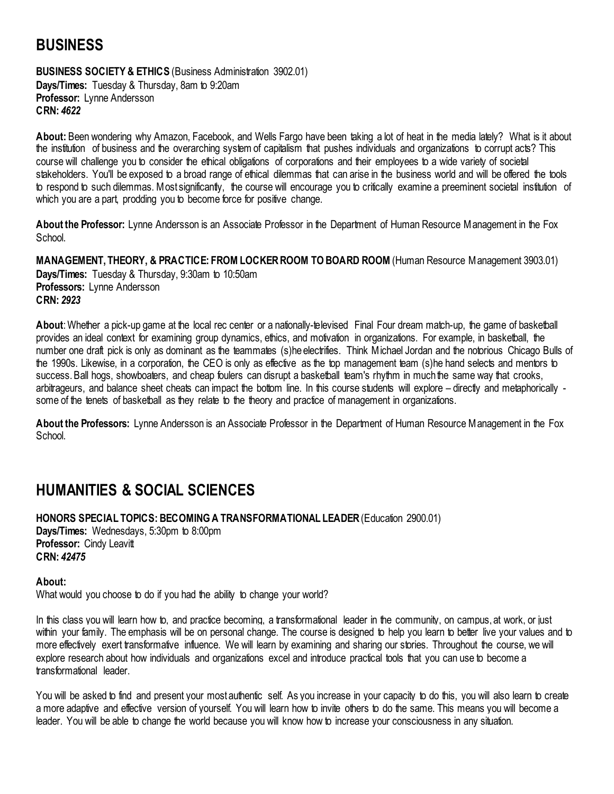# <span id="page-26-0"></span>**BUSINESS**

<span id="page-26-1"></span>**BUSINESS SOCIETY & ETHICS (Business Administration 3902.01) Days/Times:** Tuesday & Thursday, 8am to 9:20am **Professor:** Lynne Andersson **CRN:** *4622*

**About:** Been wondering why Amazon, Facebook, and Wells Fargo have been taking a lot of heat in the media lately? What is it about the institution of business and the overarching system of capitalism that pushes individuals and organizations to corrupt acts? This course will challenge you to consider the ethical obligations of corporations and their employees to a wide variety of societal stakeholders. You'll be exposed to a broad range of ethical dilemmas that can arise in the business world and will be offered the tools to respond to such dilemmas. Most significantly, the course will encourage you to critically examine a preeminent societal institution of which you are a part, prodding you to become force for positive change.

**About the Professor:** Lynne Andersson is an Associate Professor in the Department of Human Resource Management in the Fox School.

<span id="page-26-2"></span>**MANAGEMENT, THEORY, & PRACTICE: FROM LOCKER ROOM TO BOARD ROOM** (Human Resource Management 3903.01) **Days/Times:** Tuesday & Thursday, 9:30am to 10:50am **Professors:** Lynne Andersson **CRN:** *2923*

**About**: Whether a pick-up game at the local rec center or a nationally-televised Final Four dream match-up, the game of basketball provides an ideal context for examining group dynamics, ethics, and motivation in organizations. For example, in basketball, the number one draft pick is only as dominant as the teammates (s)he electrifies. Think Michael Jordan and the notorious Chicago Bulls of the 1990s. Likewise, in a corporation, the CEO is only as effective as the top management team (s)he hand selects and mentors to success. Ball hogs, showboaters, and cheap foulers can disrupt a basketball team's rhythm in much the same way that crooks, arbitrageurs, and balance sheet cheats can impact the bottom line. In this course students will explore – directly and metaphorically some of the tenets of basketball as they relate to the theory and practice of management in organizations.

**About the Professors:** Lynne Andersson is an Associate Professor in the Department of Human Resource Management in the Fox School.

## <span id="page-26-3"></span>**HUMANITIES & SOCIAL SCIENCES**

<span id="page-26-4"></span>**HONORS SPECIAL TOPICS: BECOMING A TRANSFORMATIONAL LEADER** (Education 2900.01) **Days/Times:** Wednesdays, 5:30pm to 8:00pm **Professor:** Cindy Leavitt **CRN:** *42475*

**About:**

What would you choose to do if you had the ability to change your world?

In this class you will learn how to, and practice becoming, a transformational leader in the community, on campus, at work, or just within your family. The emphasis will be on personal change. The course is designed to help you learn to better live your values and to more effectively exert transformative influence. We will learn by examining and sharing our stories. Throughout the course, we will explore research about how individuals and organizations excel and introduce practical tools that you can use to become a transformational leader.

You will be asked to find and present your most authentic self. As you increase in your capacity to do this, you will also learn to create a more adaptive and effective version of yourself. You will learn how to invite others to do the same. This means you will become a leader. You will be able to change the world because you will know how to increase your consciousness in any situation.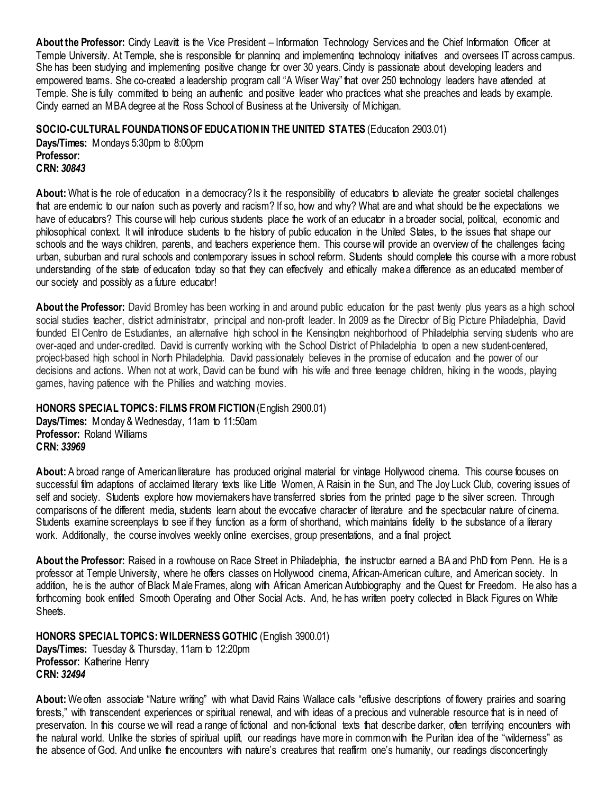**About the Professor:** Cindy Leavitt is the Vice President – Information Technology Services and the Chief Information Officer at Temple University. At Temple, she is responsible for planning and implementing technology initiatives and oversees IT across campus. She has been studying and implementing positive change for over 30 years. Cindy is passionate about developing leaders and empowered teams. She co-created a leadership program call "A Wiser Way" that over 250 technology leaders have attended at Temple. She is fully committed to being an authentic and positive leader who practices what she preaches and leads by example. Cindy earned an MBA degree at the Ross School of Business at the University of Michigan.

<span id="page-27-0"></span>**SOCIO-CULTURAL FOUNDATIONS OF EDUCATION IN THE UNITED STATES** (Education 2903.01)

**Days/Times:** Mondays 5:30pm to 8:00pm **Professor: CRN:** *30843*

About: What is the role of education in a democracy? Is it the responsibility of educators to alleviate the greater societal challenges that are endemic to our nation such as poverty and racism? If so, how and why? What are and what should be the expectations we have of educators? This course will help curious students place the work of an educator in a broader social, political, economic and philosophical context. It will introduce students to the history of public education in the United States, to the issues that shape our schools and the ways children, parents, and teachers experience them. This course will provide an overview of the challenges facing urban, suburban and rural schools and contemporary issues in school reform. Students should complete this course with a more robust understanding of the state of education today so that they can effectively and ethically make a difference as an educated member of our society and possibly as a future educator!

**About the Professor:** David Bromley has been working in and around public education for the past twenty plus years as a high school social studies teacher, district administrator, principal and non-profit leader. In 2009 as the Director of Big Picture Philadelphia, David founded El Centro de Estudiantes, an alternative high school in the Kensington neighborhood of Philadelphia serving students who are over-aged and under-credited. David is currently working with the School District of Philadelphia to open a new student-centered, project-based high school in North Philadelphia. David passionately believes in the promise of education and the power of our decisions and actions. When not at work, David can be found with his wife and three teenage children, hiking in the woods, playing games, having patience with the Phillies and watching movies.

### <span id="page-27-1"></span>**HONORS SPECIAL TOPICS: FILMS FROM FICTION** (English 2900.01)

**Days/Times:** Monday & Wednesday, 11am to 11:50am **Professor:** Roland Williams **CRN:** *33969*

**About:** A broad range of American literature has produced original material for vintage Hollywood cinema. This course focuses on successful film adaptions of acclaimed literary texts like Little Women, A Raisin in the Sun, and The Joy Luck Club, covering issues of self and society. Students explore how moviemakers have transferred stories from the printed page to the silver screen. Through comparisons of the different media, students learn about the evocative character of literature and the spectacular nature of cinema. Students examine screenplays to see if they function as a form of shorthand, which maintains fidelity to the substance of a literary work. Additionally, the course involves weekly online exercises, group presentations, and a final project.

**About the Professor:** Raised in a rowhouse on Race Street in Philadelphia, the instructor earned a BA and PhD from Penn. He is a professor at Temple University, where he offers classes on Hollywood cinema, African-American culture, and American society. In addition, he is the author of Black Male Frames, along with African American Autobiography and the Quest for Freedom. He also has a forthcoming book entitled Smooth Operating and Other Social Acts. And, he has written poetry collected in Black Figures on White Sheets.

<span id="page-27-2"></span>**HONORS SPECIAL TOPICS: WILDERNESS GOTHIC** (English 3900.01) **Days/Times:** Tuesday & Thursday, 11am to 12:20pm **Professor:** Katherine Henry **CRN:** *32494*

**About:** We often associate "Nature writing" with what David Rains Wallace calls "effusive descriptions of flowery prairies and soaring forests," with transcendent experiences or spiritual renewal, and with ideas of a precious and vulnerable resource that is in need of preservation. In this course we will read a range of fictional and non-fictional texts that describe darker, often terrifying encounters with the natural world. Unlike the stories of spiritual uplift, our readings have more in common with the Puritan idea of the "wilderness" as the absence of God. And unlike the encounters with nature's creatures that reaffirm one's humanity, our readings disconcertingly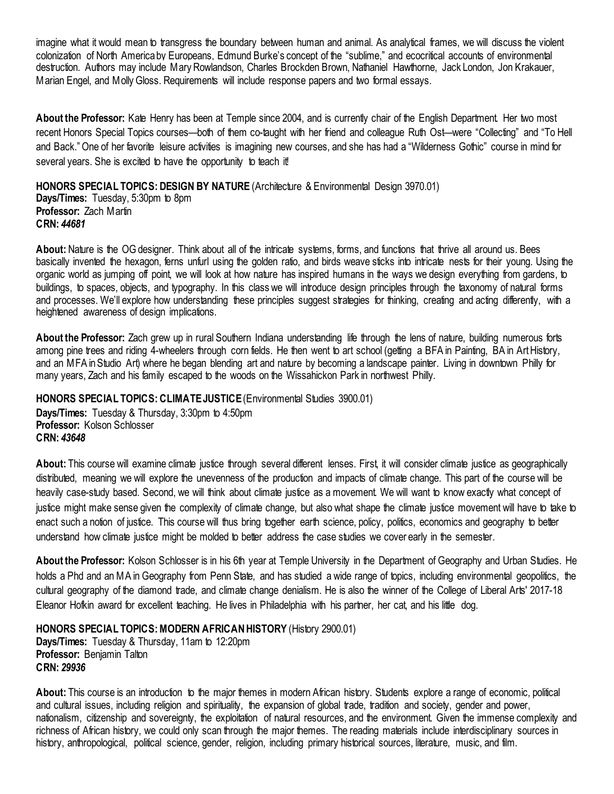imagine what it would mean to transgress the boundary between human and animal. As analytical frames, we will discuss the violent colonization of North America by Europeans, Edmund Burke's concept of the "sublime," and ecocritical accounts of environmental destruction. Authors may include Mary Rowlandson, Charles Brockden Brown, Nathaniel Hawthorne, Jack London, Jon Krakauer, Marian Engel, and MollyGloss. Requirements will include response papers and two formal essays.

**About the Professor:** Kate Henry has been at Temple since 2004, and is currently chair of the English Department. Her two most recent Honors Special Topics courses—both of them co-taught with her friend and colleague Ruth Ost—were "Collecting" and "To Hell and Back." One of her favorite leisure activities is imagining new courses, and she has had a "Wilderness Gothic" course in mind for several years. She is excited to have the opportunity to teach it!

<span id="page-28-0"></span>**HONORS SPECIAL TOPICS: DESIGN BY NATURE** (Architecture & Environmental Design 3970.01) **Days/Times:** Tuesday, 5:30pm to 8pm

**Professor:** Zach Martin **CRN:** *44681*

**About:** Nature is the OG designer. Think about all of the intricate systems, forms, and functions that thrive all around us. Bees basically invented the hexagon, ferns unfurl using the golden ratio, and birds weave sticks into intricate nests for their young. Using the organic world as jumping off point, we will look at how nature has inspired humans in the ways we design everything from gardens, to buildings, to spaces, objects, and typography. In this class we will introduce design principles through the taxonomy of natural forms and processes. We'll explore how understanding these principles suggest strategies for thinking, creating and acting differently, with a heightened awareness of design implications.

**About the Professor:** Zach grew up in rural Southern Indiana understanding life through the lens of nature, building numerous forts among pine trees and riding 4-wheelers through corn fields. He then went to art school (getting a BFA in Painting, BA in Art History, and an MFA in Studio Art) where he began blending art and nature by becoming a landscape painter. Living in downtown Philly for many years, Zach and his family escaped to the woods on the Wissahickon Park in northwest Philly.

<span id="page-28-1"></span>**HONORS SPECIAL TOPICS: CLIMATE JUSTICE**(Environmental Studies 3900.01)

**Days/Times:** Tuesday & Thursday, 3:30pm to 4:50pm **Professor:** Kolson Schlosser **CRN:** *43648*

**About:** This course will examine climate justice through several different lenses. First, it will consider climate justice as geographically distributed, meaning we will explore the unevenness of the production and impacts of climate change. This part of the course will be heavily case-study based. Second, we will think about climate justice as a movement. We will want to know exactly what concept of justice might make sense given the complexity of climate change, but also what shape the climate justice movement will have to take to enact such a notion of justice. This course will thus bring together earth science, policy, politics, economics and geography to better understand how climate justice might be molded to better address the case studies we cover early in the semester.

**About the Professor:** Kolson Schlosser is in his 6th year at Temple University in the Department of Geography and Urban Studies. He holds a Phd and an MA in Geography from Penn State, and has studied a wide range of topics, including environmental geopolitics, the cultural geography of the diamond trade, and climate change denialism. He is also the winner of the College of Liberal Arts' 2017-18 Eleanor Hofkin award for excellent teaching. He lives in Philadelphia with his partner, her cat, and his little dog.

<span id="page-28-2"></span>**HONORS SPECIAL TOPICS: MODERN AFRICAN HISTORY (History 2900.01)** 

**Days/Times:** Tuesday & Thursday, 11am to 12:20pm **Professor:** Benjamin Talton **CRN:** *29936*

**About:** This course is an introduction to the major themes in modern African history. Students explore a range of economic, political and cultural issues, including religion and spirituality, the expansion of global trade, tradition and society, gender and power, nationalism, citizenship and sovereignty, the exploitation of natural resources, and the environment. Given the immense complexity and richness of African history, we could only scan through the major themes. The reading materials include interdisciplinary sources in history, anthropological, political science, gender, religion, including primary historical sources, literature, music, and film.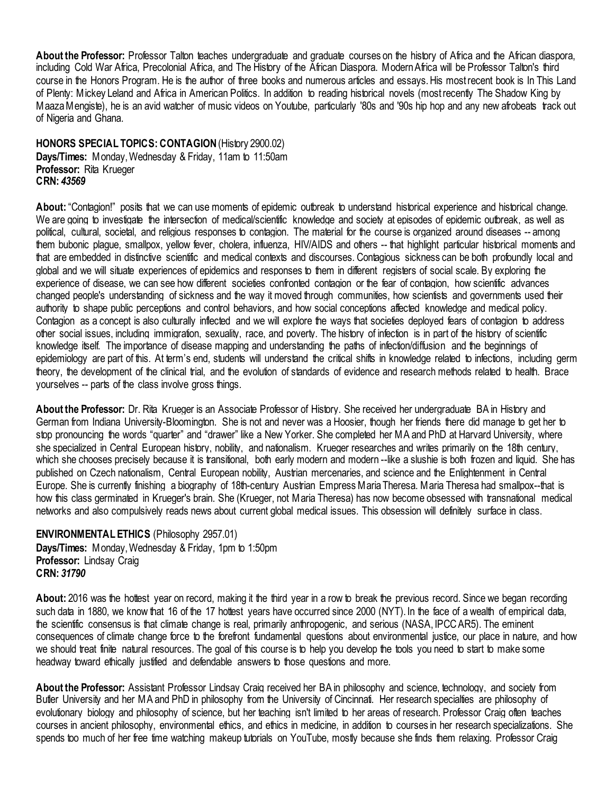**About the Professor:** Professor Talton teaches undergraduate and graduate courses on the history of Africa and the African diaspora, including Cold War Africa, Precolonial Africa, and The History of the African Diaspora. Modern Africa will be Professor Talton's third course in the Honors Program. He is the author of three books and numerous articles and essays. His most recent book is In This Land of Plenty: Mickey Leland and Africa in American Politics. In addition to reading historical novels (most recently The Shadow King by Maaza Mengiste), he is an avid watcher of music videos on Youtube, particularly '80s and '90s hip hop and any new afrobeats track out of Nigeria and Ghana.

<span id="page-29-0"></span>**HONORS SPECIAL TOPICS: CONTAGION**(History 2900.02) **Days/Times:** Monday, Wednesday & Friday, 11am to 11:50am **Professor:** Rita Krueger **CRN:** *43569*

**About:** "Contagion!" posits that we can use moments of epidemic outbreak to understand historical experience and historical change. We are going to investigate the intersection of medical/scientific knowledge and society at episodes of epidemic outbreak, as well as political, cultural, societal, and religious responses to contagion. The material for the course is organized around diseases -- among them bubonic plague, smallpox, yellow fever, cholera, influenza, HIV/AIDS and others -- that highlight particular historical moments and that are embedded in distinctive scientific and medical contexts and discourses. Contagious sickness can be both profoundly local and global and we will situate experiences of epidemics and responses to them in different registers of social scale. By exploring the experience of disease, we can see how different societies confronted contagion or the fear of contagion, how scientific advances changed people's understanding of sickness and the way it moved through communities, how scientists and governments used their authority to shape public perceptions and control behaviors, and how social conceptions affected knowledge and medical policy. Contagion as a concept is also culturally inflected and we will explore the ways that societies deployed fears of contagion to address other social issues, including immigration, sexuality, race, and poverty. The history of infection is in part of the history of scientific knowledge itself. The importance of disease mapping and understanding the paths of infection/diffusion and the beginnings of epidemiology are part of this. At term's end, students will understand the critical shifts in knowledge related to infections, including germ theory, the development of the clinical trial, and the evolution of standards of evidence and research methods related to health. Brace yourselves -- parts of the class involve gross things.

**About the Professor:** Dr. Rita Krueger is an Associate Professor of History. She received her undergraduate BA in History and German from Indiana University-Bloomington. She is not and never was a Hoosier, though her friends there did manage to get her to stop pronouncing the words "quarter" and "drawer" like a New Yorker. She completed her MA and PhD at Harvard University, where she specialized in Central European history, nobility, and nationalism. Krueger researches and writes primarily on the 18th century, which she chooses precisely because it is transitional, both early modern and modern --like a slushie is both frozen and liquid. She has published on Czech nationalism, Central European nobility, Austrian mercenaries, and science and the Enlightenment in Central Europe. She is currently finishing a biography of 18th-century Austrian Empress Maria Theresa. Maria Theresa had smallpox--that is how this class germinated in Krueger's brain. She (Krueger, not Maria Theresa) has now become obsessed with transnational medical networks and also compulsively reads news about current global medical issues. This obsession will definitely surface in class.

#### <span id="page-29-1"></span>**ENVIRONMENTAL ETHICS** (Philosophy 2957.01) **Days/Times:** Monday,Wednesday & Friday, 1pm to 1:50pm **Professor:** Lindsay Craig **CRN:** *31790*

**About:** 2016 was the hottest year on record, making it the third year in a row to break the previous record. Since we began recording such data in 1880, we know that 16 of the 17 hottest years have occurred since 2000 (NYT). In the face of a wealth of empirical data, the scientific consensus is that climate change is real, primarily anthropogenic, and serious (NASA, IPCC AR5). The eminent consequences of climate change force to the forefront fundamental questions about environmental justice, our place in nature, and how we should treat finite natural resources. The goal of this course is to help you develop the tools you need to start to make some headway toward ethically justified and defendable answers to those questions and more.

**About the Professor:** Assistant Professor Lindsay Craig received her BA in philosophy and science, technology, and society from Butler University and her MA and PhD in philosophy from the University of Cincinnati. Her research specialties are philosophy of evolutionary biology and philosophy of science, but her teaching isn't limited to her areas of research. Professor Craig often teaches courses in ancient philosophy, environmental ethics, and ethics in medicine, in addition to courses in her research specializations. She spends too much of her free time watching makeup tutorials on YouTube, mostly because she finds them relaxing. Professor Craig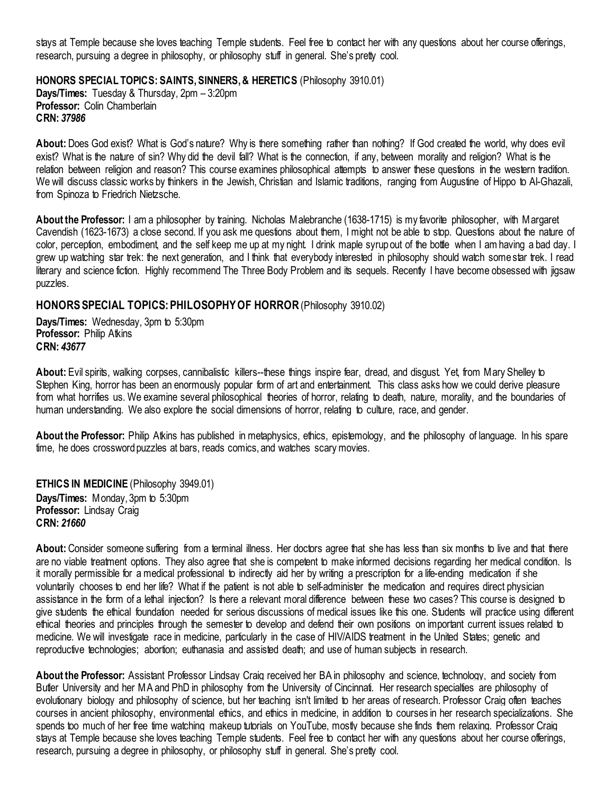stays at Temple because she loves teaching Temple students. Feel free to contact her with any questions about her course offerings, research, pursuing a degree in philosophy, or philosophy stuff in general. She's pretty cool.

<span id="page-30-0"></span>**HONORS SPECIAL TOPICS: SAINTS, SINNERS, & HERETICS** (Philosophy 3910.01) **Days/Times:** Tuesday & Thursday, 2pm – 3:20pm **Professor:** Colin Chamberlain **CRN:** *37986*

**About:** Does God exist? What is God's nature? Why is there something rather than nothing? If God created the world, why does evil exist? What is the nature of sin? Why did the devil fall? What is the connection, if any, between morality and religion? What is the relation between religion and reason? This course examines philosophical attempts to answer these questions in the western tradition. We will discuss classic works by thinkers in the Jewish, Christian and Islamic traditions, ranging from Augustine of Hippo to Al-Ghazali, from Spinoza to Friedrich Nietzsche.

**About the Professor:** I am a philosopher by training. Nicholas Malebranche (1638-1715) is my favorite philosopher, with Margaret Cavendish (1623-1673) a close second. If you ask me questions about them, I might not be able to stop. Questions about the nature of color, perception, embodiment, and the self keep me up at my night. I drink maple syrup out of the bottle when I am having a bad day. I grew up watching star trek: the next generation, and I think that everybody interested in philosophy should watch some star trek. I read literary and science fiction. Highly recommend The Three Body Problem and its sequels. Recently I have become obsessed with jigsaw puzzles.

### <span id="page-30-1"></span>**HONORS SPECIAL TOPICS: PHILOSOPHY OF HORROR** (Philosophy 3910.02)

**Days/Times:** Wednesday, 3pm to 5:30pm **Professor:** Philip Atkins **CRN:** *43677*

**About:** Evil spirits, walking corpses, cannibalistic killers--these things inspire fear, dread, and disgust. Yet, from Mary Shelley to Stephen King, horror has been an enormously popular form of art and entertainment. This class asks how we could derive pleasure from what horrifies us. We examine several philosophical theories of horror, relating to death, nature, morality, and the boundaries of human understanding. We also explore the social dimensions of horror, relating to culture, race, and gender.

**About the Professor:** Philip Atkins has published in metaphysics, ethics, epistemology, and the philosophy of language. In his spare time, he does crossword puzzles at bars, reads comics, and watches scary movies.

<span id="page-30-2"></span>**ETHICS IN MEDICINE** (Philosophy 3949.01) **Days/Times:** Monday, 3pm to 5:30pm **Professor:** Lindsay Craig **CRN:** *21660*

**About:** Consider someone suffering from a terminal illness. Her doctors agree that she has less than six months to live and that there are no viable treatment options. They also agree that she is competent to make informed decisions regarding her medical condition. Is it morally permissible for a medical professional to indirectly aid her by writing a prescription for a life-ending medication if she voluntarily chooses to end her life? What if the patient is not able to self-administer the medication and requires direct physician assistance in the form of a lethal injection? Is there a relevant moral difference between these two cases? This course is designed to give students the ethical foundation needed for serious discussions of medical issues like this one. Students will practice using different ethical theories and principles through the semester to develop and defend their own positions on important current issues related to medicine. We will investigate race in medicine, particularly in the case of HIV/AIDS treatment in the United States; genetic and reproductive technologies; abortion; euthanasia and assisted death; and use of human subjects in research.

**About the Professor:** Assistant Professor Lindsay Craig received her BA in philosophy and science, technology, and society from Butler University and her MA and PhD in philosophy from the University of Cincinnati. Her research specialties are philosophy of evolutionary biology and philosophy of science, but her teaching isn't limited to her areas of research. Professor Craig often teaches courses in ancient philosophy, environmental ethics, and ethics in medicine, in addition to courses in her research specializations. She spends too much of her free time watching makeup tutorials on YouTube, mostly because she finds them relaxing. Professor Craig stays at Temple because she loves teaching Temple students. Feel free to contact her with any questions about her course offerings, research, pursuing a degree in philosophy, or philosophy stuff in general. She's pretty cool.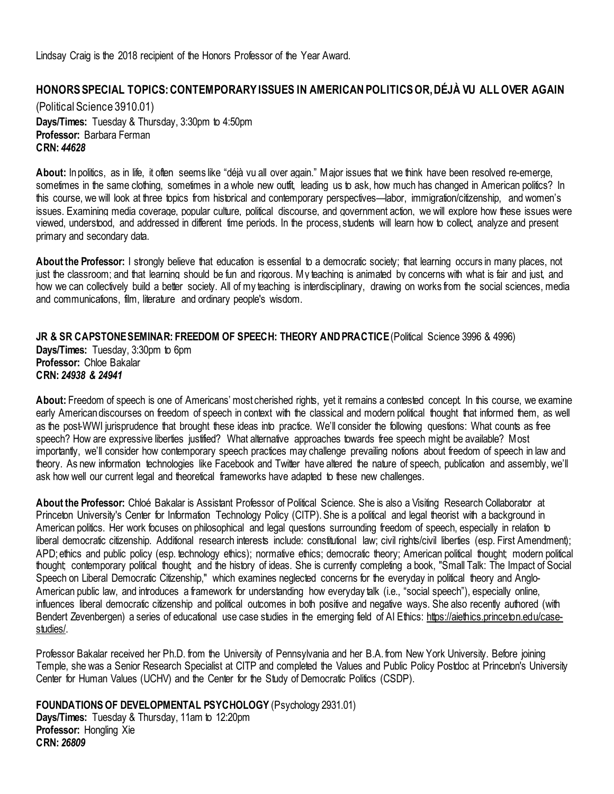Lindsay Craig is the 2018 recipient of the Honors Professor of the Year Award.

## <span id="page-31-0"></span>**HONORS SPECIAL TOPICS: CONTEMPORARY ISSUES IN AMERICAN POLITICS OR, DÉJÀ VU ALL OVER AGAIN**

(Political Science 3910.01) **Days/Times:** Tuesday & Thursday, 3:30pm to 4:50pm **Professor:** Barbara Ferman **CRN:** *44628*

**About:** In politics, as in life, it often seems like "déjà vu all over again." Major issues that we think have been resolved re-emerge, sometimes in the same clothing, sometimes in a whole new outfit, leading us to ask, how much has changed in American politics? In this course, we will look at three topics from historical and contemporary perspectives—labor, immigration/citizenship, and women's issues. Examining media coverage, popular culture, political discourse, and government action, we will explore how these issues were viewed, understood, and addressed in different time periods. In the process, students will learn how to collect, analyze and present primary and secondary data.

**About the Professor:** I strongly believe that education is essential to a democratic society; that learning occurs in many places, not just the classroom; and that learning should be fun and rigorous. My teaching is animated by concerns with what is fair and just, and how we can collectively build a better society. All of my teaching is interdisciplinary, drawing on works from the social sciences, media and communications, film, literature and ordinary people's wisdom.

<span id="page-31-1"></span>**JR & SR CAPSTONE SEMINAR: FREEDOM OF SPEECH: THEORY AND PRACTICE** (Political Science 3996 & 4996) **Days/Times:** Tuesday, 3:30pm to 6pm **Professor:** Chloe Bakalar **CRN:** *24938 & 24941*

**About:** Freedom of speech is one of Americans' most cherished rights, yet it remains a contested concept. In this course, we examine early American discourses on freedom of speech in context with the classical and modern political thought that informed them, as well as the post-WWI jurisprudence that brought these ideas into practice. We'll consider the following questions: What counts as free speech? How are expressive liberties justified? What alternative approaches towards free speech might be available? Most importantly, we'll consider how contemporary speech practices may challenge prevailing notions about freedom of speech in law and theory. As new information technologies like Facebook and Twitter have altered the nature of speech, publication and assembly, we'll ask how well our current legal and theoretical frameworks have adapted to these new challenges.

**About the Professor:** Chloé Bakalar is Assistant Professor of Political Science. She is also a Visiting Research Collaborator at Princeton University's Center for Information Technology Policy (CITP). She is a political and legal theorist with a background in American politics. Her work focuses on philosophical and legal questions surrounding freedom of speech, especially in relation to liberal democratic citizenship. Additional research interests include: constitutional law; civil rights/civil liberties (esp. First Amendment); APD; ethics and public policy (esp. technology ethics); normative ethics; democratic theory; American political thought; modern political thought; contemporary political thought; and the history of ideas. She is currently completing a book, "Small Talk: The Impact of Social Speech on Liberal Democratic Citizenship," which examines neglected concerns for the everyday in political theory and Anglo-American public law, and introduces a framework for understanding how everyday talk (i.e., "social speech"), especially online, influences liberal democratic citizenship and political outcomes in both positive and negative ways. She also recently authored (with Bendert Zevenbergen) a series of educational use case studies in the emerging field of AI Ethics: [https://aiethics.princeton.edu/case](https://aiethics.princeton.edu/case-studies/)[studies/.](https://aiethics.princeton.edu/case-studies/)

Professor Bakalar received her Ph.D. from the University of Pennsylvania and her B.A. from New York University. Before joining Temple, she was a Senior Research Specialist at CITP and completed the Values and Public Policy Postdoc at Princeton's University Center for Human Values (UCHV) and the Center for the Study of Democratic Politics (CSDP).

<span id="page-31-2"></span>**FOUNDATIONS OF DEVELOPMENTAL PSYCHOLOGY** (Psychology 2931.01)

**Days/Times:** Tuesday & Thursday, 11am to 12:20pm **Professor: Hongling Xie CRN:** *26809*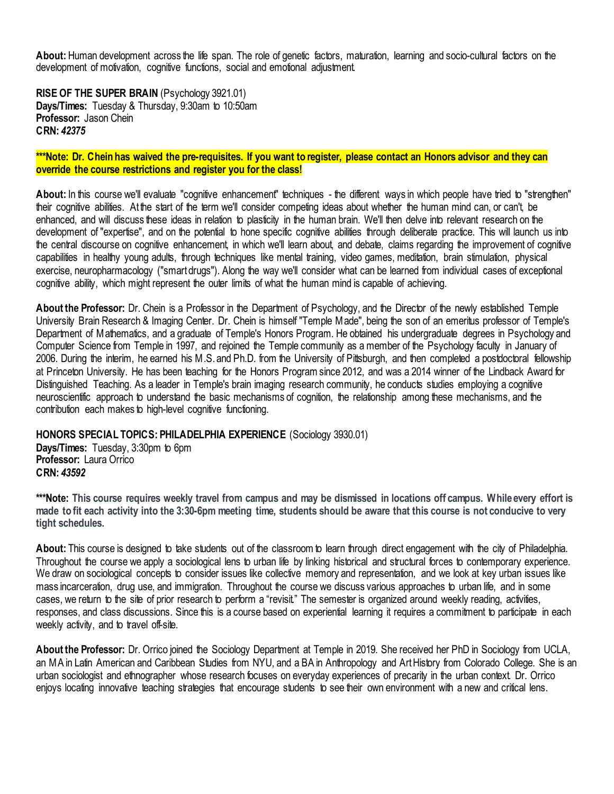**About:** Human development across the life span. The role of genetic factors, maturation, learning and socio-cultural factors on the development of motivation, cognitive functions, social and emotional adjustment.

<span id="page-32-0"></span>**RISE OF THE SUPER BRAIN** (Psychology 3921.01) **Days/Times:** Tuesday & Thursday, 9:30am to 10:50am **Professor:** Jason Chein **CRN:** *42375*

#### **\*\*\*Note: Dr. Chein has waived the pre-requisites. If you want to register, please contact an Honors advisor and they can override the course restrictions and register you for the class!**

About: In this course we'll evaluate "cognitive enhancement" techniques - the different ways in which people have tried to "strengthen" their cognitive abilities. At the start of the term we'll consider competing ideas about whether the human mind can, or can't, be enhanced, and will discuss these ideas in relation to plasticity in the human brain. We'll then delve into relevant research on the development of "expertise", and on the potential to hone specific cognitive abilities through deliberate practice. This will launch us into the central discourse on cognitive enhancement, in which we'll learn about, and debate, claims regarding the improvement of cognitive capabilities in healthy young adults, through techniques like mental training, video games, meditation, brain stimulation, physical exercise, neuropharmacology ("smart drugs"). Along the way we'll consider what can be learned from individual cases of exceptional cognitive ability, which might represent the outer limits of what the human mind is capable of achieving.

**About the Professor:** Dr. Chein is a Professor in the Department of Psychology, and the Director of the newly established Temple University Brain Research & Imaging Center. Dr. Chein is himself "Temple Made", being the son of an emeritus professor of Temple's Department of Mathematics, and a graduate of Temple's Honors Program. He obtained his undergraduate degrees in Psychology and Computer Science from Temple in 1997, and rejoined the Temple community as a member of the Psychology faculty in January of 2006. During the interim, he earned his M.S. and Ph.D. from the University of Pittsburgh, and then completed a postdoctoral fellowship at Princeton University. He has been teaching for the Honors Program since 2012, and was a 2014 winner of the Lindback Award for Distinguished Teaching. As a leader in Temple's brain imaging research community, he conducts studies employing a cognitive neuroscientific approach to understand the basic mechanisms of cognition, the relationship among these mechanisms, and the contribution each makes to high-level cognitive functioning.

#### <span id="page-32-1"></span>**HONORS SPECIAL TOPICS: PHILADELPHIA EXPERIENCE** (Sociology 3930.01)

**Days/Times:** Tuesday, 3:30pm to 6pm **Professor:** Laura Orrico **CRN:** *43592*

**\*\*\*Note: This course requires weekly travel from campus and may be dismissed in locations off campus. While every effort is made to fit each activity into the 3:30-6pm meeting time, students should be aware that this course is not conducive to very tight schedules.**

About: This course is designed to take students out of the classroom to learn through direct engagement with the city of Philadelphia. Throughout the course we apply a sociological lens to urban life by linking historical and structural forces to contemporary experience. We draw on sociological concepts to consider issues like collective memory and representation, and we look at key urban issues like mass incarceration, drug use, and immigration. Throughout the course we discuss various approaches to urban life, and in some cases, we return to the site of prior research to perform a "revisit." The semester is organized around weekly reading, activities, responses, and class discussions. Since this is a course based on experiential learning it requires a commitment to participate in each weekly activity, and to travel off-site.

**About the Professor:** Dr. Orrico joined the Sociology Department at Temple in 2019. She received her PhD in Sociology from UCLA, an MA in Latin American and Caribbean Studies from NYU, and a BA in Anthropology and Art History from Colorado College. She is an urban sociologist and ethnographer whose research focuses on everyday experiences of precarity in the urban context. Dr. Orrico enjoys locating innovative teaching strategies that encourage students to see their own environment with a new and critical lens.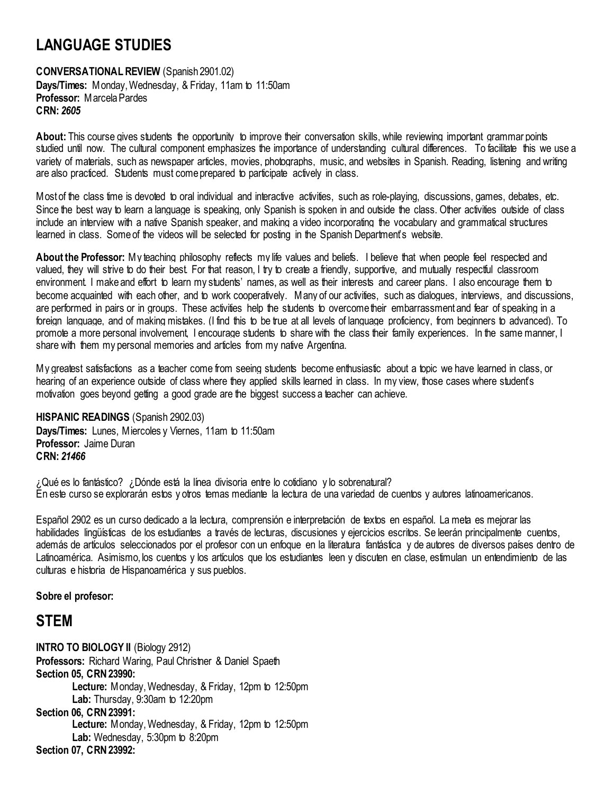# <span id="page-33-0"></span>**LANGUAGE STUDIES**

<span id="page-33-1"></span>**CONVERSATIONAL REVIEW** (Spanish 2901.02) **Days/Times:** Monday, Wednesday, & Friday, 11am to 11:50am **Professor:** Marcela Pardes **CRN:** *2605*

**About:** This course gives students the opportunity to improve their conversation skills, while reviewing important grammar points studied until now. The cultural component emphasizes the importance of understanding cultural differences. To facilitate this we use a variety of materials, such as newspaper articles, movies, photographs, music, and websites in Spanish. Reading, listening and writing are also practiced. Students must come prepared to participate actively in class.

Most of the class time is devoted to oral individual and interactive activities, such as role-playing, discussions, games, debates, etc. Since the best way to learn a language is speaking, only Spanish is spoken in and outside the class. Other activities outside of class include an interview with a native Spanish speaker, and making a video incorporating the vocabulary and grammatical structures learned in class. Some of the videos will be selected for posting in the Spanish Department's website.

**About the Professor:** My teaching philosophy reflects my life values and beliefs. I believe that when people feel respected and valued, they will strive to do their best. For that reason, I try to create a friendly, supportive, and mutually respectful classroom environment. I make and effort to learn my students' names, as well as their interests and career plans. I also encourage them to become acquainted with each other, and to work cooperatively. Many of our activities, such as dialogues, interviews, and discussions, are performed in pairs or in groups. These activities help the students to overcome their embarrassment and fear of speaking in a foreign language, and of making mistakes. (I find this to be true at all levels of language proficiency, from beginners to advanced). To promote a more personal involvement, I encourage students to share with the class their family experiences. In the same manner, I share with them my personal memories and articles from my native Argentina.

My greatest satisfactions as a teacher come from seeing students become enthusiastic about a topic we have learned in class, or hearing of an experience outside of class where they applied skills learned in class. In my view, those cases where student's motivation goes beyond getting a good grade are the biggest success a teacher can achieve.

<span id="page-33-2"></span>**HISPANIC READINGS** (Spanish 2902.03) **Days/Times:** Lunes, Miercoles y Viernes, 11am to 11:50am **Professor:** Jaime Duran **CRN:** *21466*

¿Qué es lo fantástico? ¿Dónde está la línea divisoria entre lo cotidiano y lo sobrenatural? En este curso se explorarán estos y otros temas mediante la lectura de una variedad de cuentos y autores latinoamericanos.

Español 2902 es un curso dedicado a la lectura, comprensión e interpretación de textos en español. La meta es mejorar las habilidades lingüísticas de los estudiantes a través de lecturas, discusiones y ejercicios escritos. Se leerán principalmente cuentos, además de artículos seleccionados por el profesor con un enfoque en la literatura fantástica y de autores de diversos países dentro de Latinoamérica. Asimismo, los cuentos y los artículos que los estudiantes leen y discuten en clase, estimulan un entendimiento de las culturas e historia de Hispanoamérica y sus pueblos.

<span id="page-33-3"></span>**Sobre el profesor:**

## **STEM**

<span id="page-33-4"></span>**INTRO TO BIOLOGY II** (Biology 2912) **Professors: Richard Waring, Paul Christner & Daniel Spaeth Section 05, CRN 23990: Lecture:** Monday, Wednesday, & Friday, 12pm to 12:50pm **Lab:** Thursday, 9:30am to 12:20pm **Section 06, CRN 23991: Lecture:** Monday, Wednesday, & Friday, 12pm to 12:50pm **Lab:** Wednesday, 5:30pm to 8:20pm **Section 07, CRN 23992:**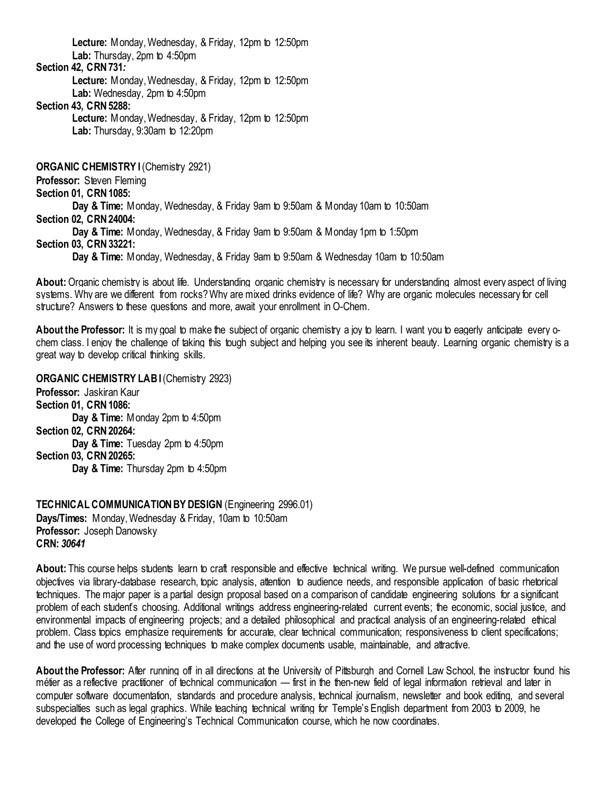**Lecture:** Monday, Wednesday, & Friday, 12pm to 12:50pm **Lab:** Thursday, 2pm to 4:50pm

### **Section 42, CRN 731***:*

**Lecture:** Monday, Wednesday, & Friday, 12pm to 12:50pm **Lab:** Wednesday, 2pm to 4:50pm

#### **Section 43, CRN 5288:**

**Lecture:** Monday, Wednesday, & Friday, 12pm to 12:50pm **Lab:** Thursday, 9:30am to 12:20pm

<span id="page-34-0"></span>**ORGANIC CHEMISTRY I** (Chemistry 2921)

**Professor:** Steven Fleming

**Section 01, CRN 1085:**

**Day & Time:** Monday, Wednesday, & Friday 9am to 9:50am & Monday 10am to 10:50am

**Section 02, CRN 24004:**

**Day & Time:** Monday, Wednesday, & Friday 9am to 9:50am & Monday 1pm to 1:50pm

#### **Section 03, CRN 33221:**

**Day & Time:** Monday, Wednesday, & Friday 9am to 9:50am & Wednesday 10am to 10:50am

**About:**Organic chemistry is about life. Understanding organic chemistry is necessary for understanding almost every aspect of living systems. Why are we different from rocks? Why are mixed drinks evidence of life? Why are organic molecules necessary for cell structure? Answers to these questions and more, await your enrollment in O-Chem.

**About the Professor:** It is my goal to make the subject of organic chemistry a joy to learn. I want you to eagerly anticipate every ochem class. I enjoy the challenge of taking this tough subject and helping you see its inherent beauty. Learning organic chemistry is a great way to develop critical thinking skills.

<span id="page-34-1"></span>**ORGANIC CHEMISTRY LABI** (Chemistry 2923) **Professor:** Jaskiran Kaur **Section 01, CRN 1086: Day & Time:** Monday 2pm to 4:50pm **Section 02, CRN 20264: Day & Time:** Tuesday 2pm to 4:50pm **Section 03, CRN 20265: Day & Time:** Thursday 2pm to 4:50pm

<span id="page-34-2"></span>**TECHNICAL COMMUNICATION BY DESIGN** (Engineering 2996.01) **Days/Times:** Monday, Wednesday & Friday, 10am to 10:50am **Professor:** Joseph Danowsky **CRN:** *30641*

**About:** This course helps students learn to craft responsible and effective technical writing. We pursue well-defined communication objectives via library-database research, topic analysis, attention to audience needs, and responsible application of basic rhetorical techniques. The major paper is a partial design proposal based on a comparison of candidate engineering solutions for a significant problem of each student's choosing. Additional writings address engineering-related current events; the economic, social justice, and environmental impacts of engineering projects; and a detailed philosophical and practical analysis of an engineering-related ethical problem. Class topics emphasize requirements for accurate, clear technical communication; responsiveness to client specifications; and the use of word processing techniques to make complex documents usable, maintainable, and attractive.

**About the Professor:** After running off in all directions at the University of Pittsburgh and Cornell Law School, the instructor found his métier as a reflective practitioner of technical communication — first in the then-new field of legal information retrieval and later in computer software documentation, standards and procedure analysis, technical journalism, newsletter and book editing, and several subspecialties such as legal graphics. While teaching technical writing for Temple's English department from 2003 to 2009, he developed the College of Engineering's Technical Communication course, which he now coordinates.